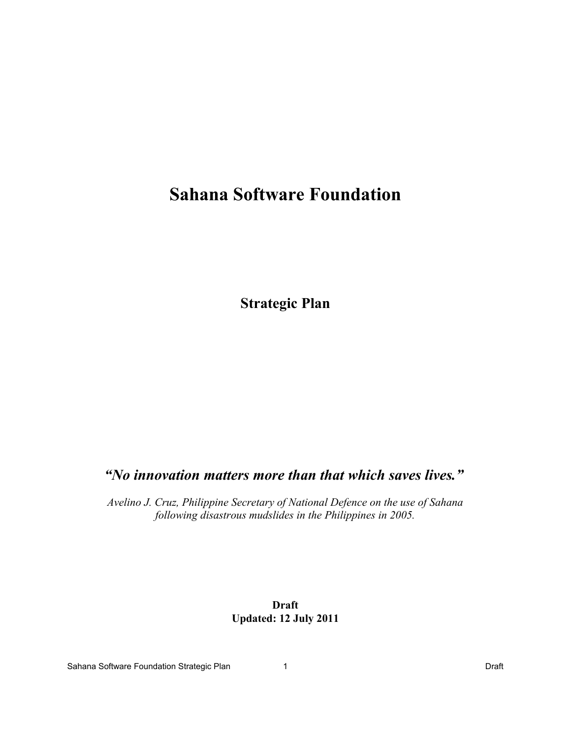# **Sahana Software Foundation**

**Strategic Plan**

## *"No innovation matters more than that which saves lives."*

 *Avelino J. Cruz, Philippine Secretary of National Defence on the use of Sahana following disastrous mudslides in the Philippines in 2005.*

## **Draft Updated: 12 July 2011**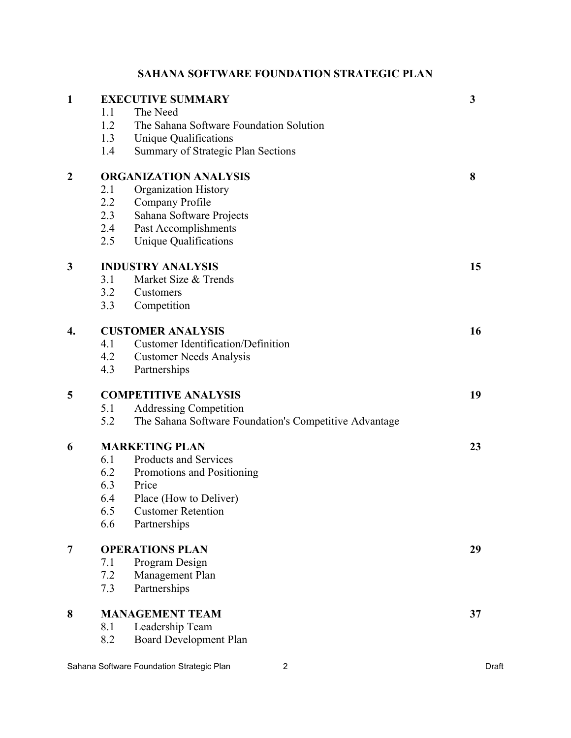## **SAHANA SOFTWARE FOUNDATION STRATEGIC PLAN**

| $\mathbf{1}$     |                              | <b>EXECUTIVE SUMMARY</b>                               | $\mathbf{3}$ |
|------------------|------------------------------|--------------------------------------------------------|--------------|
|                  | 1.1                          | The Need                                               |              |
|                  | 1.2                          | The Sahana Software Foundation Solution                |              |
|                  | 1.3                          | <b>Unique Qualifications</b>                           |              |
|                  | 1.4                          | Summary of Strategic Plan Sections                     |              |
| $\boldsymbol{2}$ | <b>ORGANIZATION ANALYSIS</b> |                                                        |              |
|                  | 2.1                          | <b>Organization History</b>                            |              |
|                  | 2.2                          | Company Profile                                        |              |
|                  | 2.3                          | Sahana Software Projects                               |              |
|                  | 2.4                          | Past Accomplishments                                   |              |
|                  | 2.5                          | <b>Unique Qualifications</b>                           |              |
| 3                |                              | <b>INDUSTRY ANALYSIS</b>                               | 15           |
|                  | 3.1                          | Market Size & Trends                                   |              |
|                  | 3.2                          | Customers                                              |              |
|                  | 3.3                          | Competition                                            |              |
| 4.               |                              | <b>CUSTOMER ANALYSIS</b>                               | 16           |
|                  | 4.1                          | <b>Customer Identification/Definition</b>              |              |
|                  | 4.2                          | <b>Customer Needs Analysis</b>                         |              |
|                  | 4.3                          | Partnerships                                           |              |
| 5                | <b>COMPETITIVE ANALYSIS</b>  |                                                        |              |
|                  | 5.1                          | <b>Addressing Competition</b>                          |              |
|                  | 5.2                          | The Sahana Software Foundation's Competitive Advantage |              |
| 6                |                              | <b>MARKETING PLAN</b>                                  | 23           |
|                  | 6.1                          | Products and Services                                  |              |
|                  | 6.2                          | Promotions and Positioning                             |              |
|                  | 6.3                          | Price                                                  |              |
|                  | 6.4                          | Place (How to Deliver)                                 |              |
|                  | 6.5                          | <b>Customer Retention</b>                              |              |
|                  | 6.6                          | Partnerships                                           |              |
| $\overline{7}$   |                              | <b>OPERATIONS PLAN</b>                                 | 29           |
|                  | 7.1                          | Program Design                                         |              |
|                  | 7.2                          | Management Plan                                        |              |
|                  | 7.3                          | Partnerships                                           |              |
| 8                |                              | <b>MANAGEMENT TEAM</b>                                 | 37           |
|                  | 8.1                          | Leadership Team                                        |              |
|                  | 8.2                          | <b>Board Development Plan</b>                          |              |
|                  |                              |                                                        |              |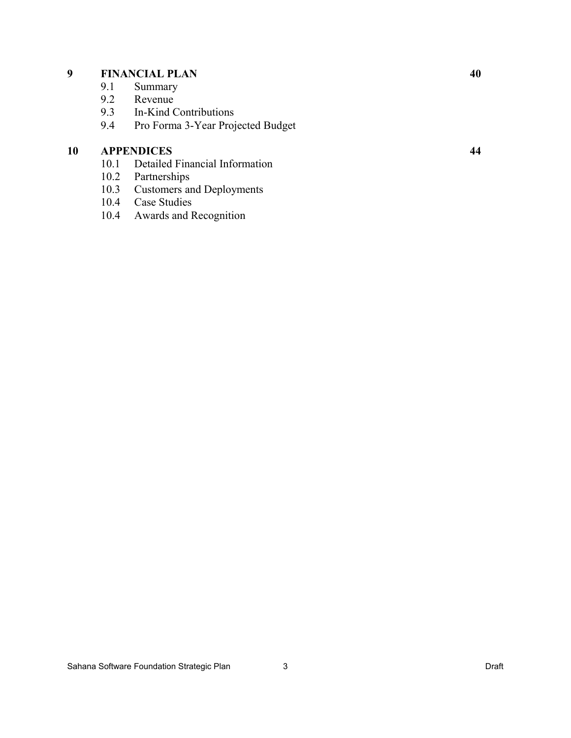## **9 FINANCIAL PLAN 40**

- 9.1 Summary
- 9.2 Revenue
- 9.3 In-Kind Contributions
- 9.4 Pro Forma 3-Year Projected Budget

## **10 APPENDICES 44**

- 10.1 Detailed Financial Information
- 10.2 Partnerships<br>10.3 Customers an
- Customers and Deployments
- 10.4 Case Studies
- 10.4 Awards and Recognition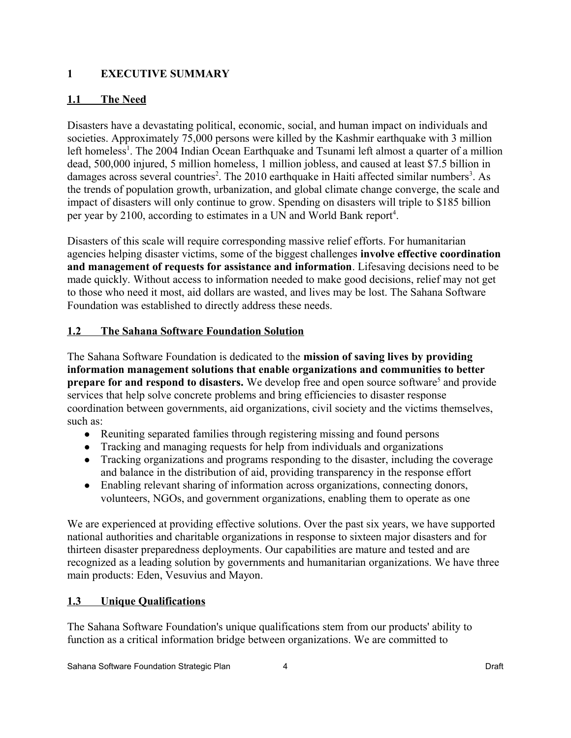## **1 EXECUTIVE SUMMARY**

## **1.1 The Need**

Disasters have a devastating political, economic, social, and human impact on individuals and societies. Approximately 75,000 persons were killed by the Kashmir earthquake with 3 million left homeless<sup>[1](#page-52-0)</sup>. The 2004 Indian Ocean Earthquake and Tsunami left almost a quarter of a million dead, 500,000 injured, 5 million homeless, 1 million jobless, and caused at least \$7.5 billion in damages across several countries<sup>[2](#page-52-1)</sup>. The 2010 earthquake in Haiti affected similar numbers<sup>[3](#page-52-2)</sup>. As the trends of population growth, urbanization, and global climate change converge, the scale and impact of disasters will only continue to grow. Spending on disasters will triple to \$185 billion per year by 2100, according to estimates in a UN and World Bank report<sup>[4](#page-52-3)</sup>.

Disasters of this scale will require corresponding massive relief efforts. For humanitarian agencies helping disaster victims, some of the biggest challenges **involve effective coordination and management of requests for assistance and information**. Lifesaving decisions need to be made quickly. Without access to information needed to make good decisions, relief may not get to those who need it most, aid dollars are wasted, and lives may be lost. The Sahana Software Foundation was established to directly address these needs.

## **1.2 The Sahana Software Foundation Solution**

The Sahana Software Foundation is dedicated to the **mission of saving lives by providing information management solutions that enable organizations and communities to better prepare for and respond to disasters.** We develop free and open source software<sup>[5](#page-52-4)</sup> and provide services that help solve concrete problems and bring efficiencies to disaster response coordination between governments, aid organizations, civil society and the victims themselves, such as:

- Reuniting separated families through registering missing and found persons
- Tracking and managing requests for help from individuals and organizations
- Tracking organizations and programs responding to the disaster, including the coverage and balance in the distribution of aid, providing transparency in the response effort
- Enabling relevant sharing of information across organizations, connecting donors, volunteers, NGOs, and government organizations, enabling them to operate as one

We are experienced at providing effective solutions. Over the past six years, we have supported national authorities and charitable organizations in response to sixteen major disasters and for thirteen disaster preparedness deployments. Our capabilities are mature and tested and are recognized as a leading solution by governments and humanitarian organizations. We have three main products: Eden, Vesuvius and Mayon.

## **1.3 Unique Qualifications**

The Sahana Software Foundation's unique qualifications stem from our products' ability to function as a critical information bridge between organizations. We are committed to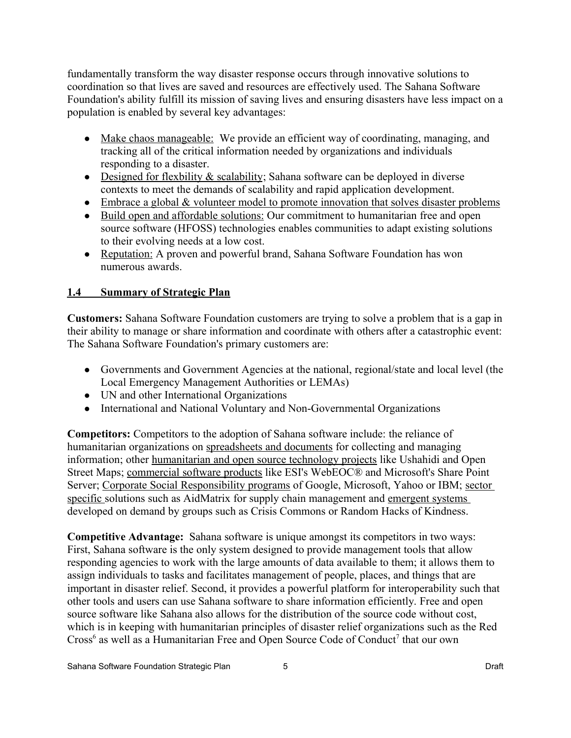fundamentally transform the way disaster response occurs through innovative solutions to coordination so that lives are saved and resources are effectively used. The Sahana Software Foundation's ability fulfill its mission of saving lives and ensuring disasters have less impact on a population is enabled by several key advantages:

- Make chaos manageable: We provide an efficient way of coordinating, managing, and tracking all of the critical information needed by organizations and individuals responding to a disaster.
- Designed for flexbility  $\&$  scalability; Sahana software can be deployed in diverse contexts to meet the demands of scalability and rapid application development.
- $\bullet$  Embrace a global  $\&$  volunteer model to promote innovation that solves disaster problems
- Build open and affordable solutions: Our commitment to humanitarian free and open source software (HFOSS) technologies enables communities to adapt existing solutions to their evolving needs at a low cost.
- Reputation: A proven and powerful brand, Sahana Software Foundation has won numerous awards.

## **1.4 Summary of Strategic Plan**

**Customers:** Sahana Software Foundation customers are trying to solve a problem that is a gap in their ability to manage or share information and coordinate with others after a catastrophic event: The Sahana Software Foundation's primary customers are:

- Governments and Government Agencies at the national, regional/state and local level (the Local Emergency Management Authorities or LEMAs)
- UN and other International Organizations
- International and National Voluntary and Non-Governmental Organizations

**Competitors:** Competitors to the adoption of Sahana software include: the reliance of humanitarian organizations on spreadsheets and documents for collecting and managing information; other humanitarian and open source technology projects like Ushahidi and Open Street Maps; commercial software products like ESI's WebEOC® and Microsoft's Share Point Server; Corporate Social Responsibility programs of Google, Microsoft, Yahoo or IBM; sector specific solutions such as AidMatrix for supply chain management and emergent systems developed on demand by groups such as Crisis Commons or Random Hacks of Kindness.

**Competitive Advantage:** Sahana software is unique amongst its competitors in two ways: First, Sahana software is the only system designed to provide management tools that allow responding agencies to work with the large amounts of data available to them; it allows them to assign individuals to tasks and facilitates management of people, places, and things that are important in disaster relief. Second, it provides a powerful platform for interoperability such that other tools and users can use Sahana software to share information efficiently. Free and open source software like Sahana also allows for the distribution of the source code without cost, which is in keeping with humanitarian principles of disaster relief organizations such as the Red Cross<sup>[6](#page-52-5)</sup> as well as a Humanitarian Free and Open Source Code of Conduct<sup>[7](#page-52-6)</sup> that our own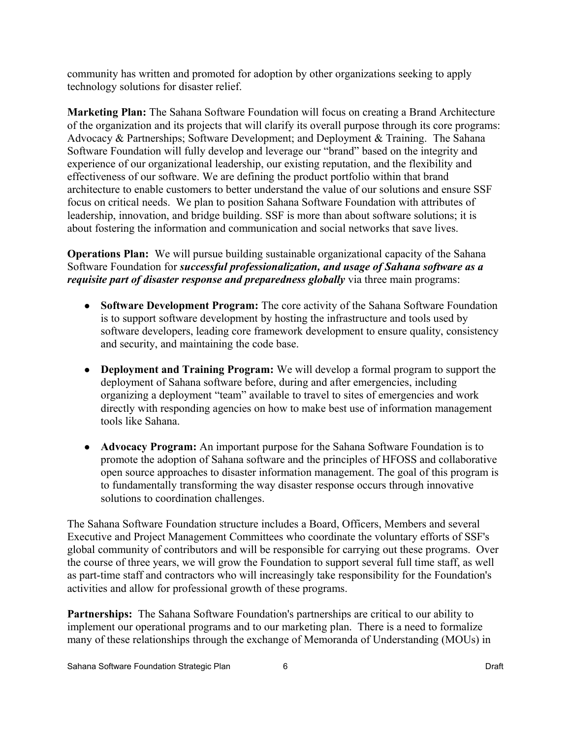community has written and promoted for adoption by other organizations seeking to apply technology solutions for disaster relief.

**Marketing Plan:** The Sahana Software Foundation will focus on creating a Brand Architecture of the organization and its projects that will clarify its overall purpose through its core programs: Advocacy & Partnerships; Software Development; and Deployment & Training. The Sahana Software Foundation will fully develop and leverage our "brand" based on the integrity and experience of our organizational leadership, our existing reputation, and the flexibility and effectiveness of our software. We are defining the product portfolio within that brand architecture to enable customers to better understand the value of our solutions and ensure SSF focus on critical needs. We plan to position Sahana Software Foundation with attributes of leadership, innovation, and bridge building. SSF is more than about software solutions; it is about fostering the information and communication and social networks that save lives.

**Operations Plan:** We will pursue building sustainable organizational capacity of the Sahana Software Foundation for *successful professionalization, and usage of Sahana software as a requisite part of disaster response and preparedness globally* via three main programs:

- **Software Development Program:** The core activity of the Sahana Software Foundation is to support software development by hosting the infrastructure and tools used by software developers, leading core framework development to ensure quality, consistency and security, and maintaining the code base.
- **Deployment and Training Program:** We will develop a formal program to support the deployment of Sahana software before, during and after emergencies, including organizing a deployment "team" available to travel to sites of emergencies and work directly with responding agencies on how to make best use of information management tools like Sahana.
- **Advocacy Program:** An important purpose for the Sahana Software Foundation is to promote the adoption of Sahana software and the principles of HFOSS and collaborative open source approaches to disaster information management. The goal of this program is to fundamentally transforming the way disaster response occurs through innovative solutions to coordination challenges.

The Sahana Software Foundation structure includes a Board, Officers, Members and several Executive and Project Management Committees who coordinate the voluntary efforts of SSF's global community of contributors and will be responsible for carrying out these programs. Over the course of three years, we will grow the Foundation to support several full time staff, as well as part-time staff and contractors who will increasingly take responsibility for the Foundation's activities and allow for professional growth of these programs.

**Partnerships:** The Sahana Software Foundation's partnerships are critical to our ability to implement our operational programs and to our marketing plan. There is a need to formalize many of these relationships through the exchange of Memoranda of Understanding (MOUs) in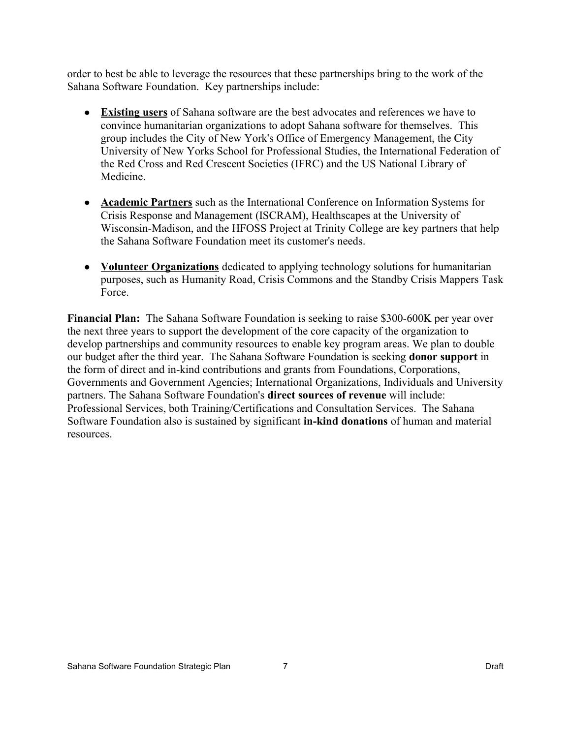order to best be able to leverage the resources that these partnerships bring to the work of the Sahana Software Foundation. Key partnerships include:

- ● **Existing users** of Sahana software are the best advocates and references we have to convince humanitarian organizations to adopt Sahana software for themselves. This group includes the City of New York's Office of Emergency Management, the City University of New Yorks School for Professional Studies, the International Federation of the Red Cross and Red Crescent Societies (IFRC) and the US National Library of Medicine.
- ● **Academic Partners** such as the International Conference on Information Systems for Crisis Response and Management (ISCRAM), Healthscapes at the University of Wisconsin-Madison, and the HFOSS Project at Trinity College are key partners that help the Sahana Software Foundation meet its customer's needs.
- ● **Volunteer Organizations** dedicated to applying technology solutions for humanitarian purposes, such as Humanity Road, Crisis Commons and the Standby Crisis Mappers Task Force.

**Financial Plan:** The Sahana Software Foundation is seeking to raise \$300-600K per year over the next three years to support the development of the core capacity of the organization to develop partnerships and community resources to enable key program areas. We plan to double our budget after the third year. The Sahana Software Foundation is seeking **donor support** in the form of direct and in-kind contributions and grants from Foundations, Corporations, Governments and Government Agencies; International Organizations, Individuals and University partners. The Sahana Software Foundation's **direct sources of revenue** will include: Professional Services, both Training/Certifications and Consultation Services. The Sahana Software Foundation also is sustained by significant **in-kind donations** of human and material resources.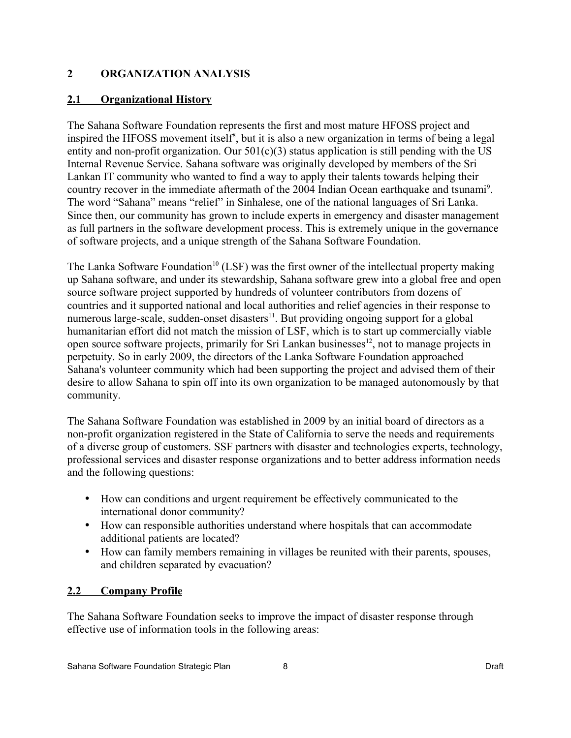## **2 ORGANIZATION ANALYSIS**

## **2.1 Organizational History**

The Sahana Software Foundation represents the first and most mature HFOSS project and inspired the HFOSS movement itself<sup>[8](#page-52-7)</sup>, but it is also a new organization in terms of being a legal entity and non-profit organization. Our  $501(c)(3)$  status application is still pending with the US Internal Revenue Service. Sahana software was originally developed by members of the Sri Lankan IT community who wanted to find a way to apply their talents towards helping their country recover in the immediate aftermath of the 2004 Indian Ocean earthquake and tsunami<sup>[9](#page-52-8)</sup>. The word "Sahana" means "relief" in Sinhalese, one of the national languages of Sri Lanka. Since then, our community has grown to include experts in emergency and disaster management as full partners in the software development process. This is extremely unique in the governance of software projects, and a unique strength of the Sahana Software Foundation.

The Lanka Software Foundation<sup>[10](#page-52-9)</sup> (LSF) was the first owner of the intellectual property making up Sahana software, and under its stewardship, Sahana software grew into a global free and open source software project supported by hundreds of volunteer contributors from dozens of countries and it supported national and local authorities and relief agencies in their response to numerous large-scale, sudden-onset disasters $11$ . But providing ongoing support for a global humanitarian effort did not match the mission of LSF, which is to start up commercially viable open source software projects, primarily for Sri Lankan businesses $^{12}$  $^{12}$  $^{12}$ , not to manage projects in perpetuity. So in early 2009, the directors of the Lanka Software Foundation approached Sahana's volunteer community which had been supporting the project and advised them of their desire to allow Sahana to spin off into its own organization to be managed autonomously by that community.

The Sahana Software Foundation was established in 2009 by an initial board of directors as a non-profit organization registered in the State of California to serve the needs and requirements of a diverse group of customers. SSF partners with disaster and technologies experts, technology, professional services and disaster response organizations and to better address information needs and the following questions:

- How can conditions and urgent requirement be effectively communicated to the international donor community?
- How can responsible authorities understand where hospitals that can accommodate additional patients are located?
- How can family members remaining in villages be reunited with their parents, spouses, and children separated by evacuation?

## **2.2 Company Profile**

The Sahana Software Foundation seeks to improve the impact of disaster response through effective use of information tools in the following areas: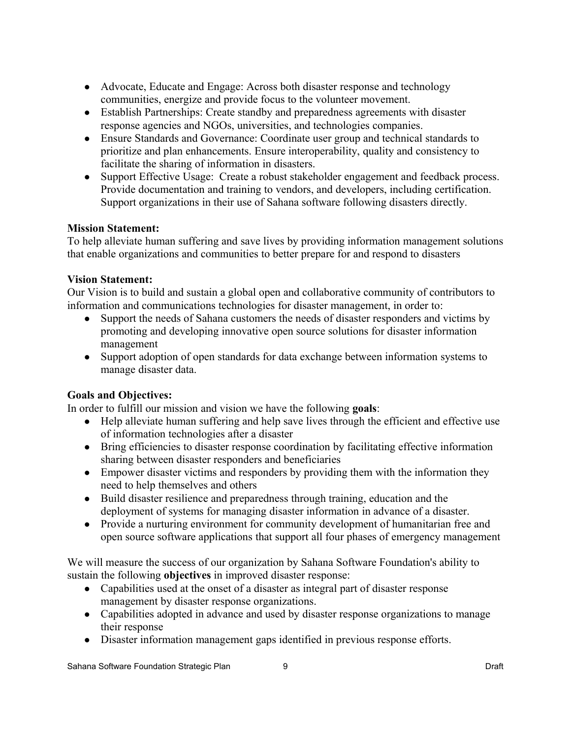- Advocate, Educate and Engage: Across both disaster response and technology communities, energize and provide focus to the volunteer movement.
- Establish Partnerships: Create standby and preparedness agreements with disaster response agencies and NGOs, universities, and technologies companies.
- Ensure Standards and Governance: Coordinate user group and technical standards to prioritize and plan enhancements. Ensure interoperability, quality and consistency to facilitate the sharing of information in disasters.
- Support Effective Usage: Create a robust stakeholder engagement and feedback process. Provide documentation and training to vendors, and developers, including certification. Support organizations in their use of Sahana software following disasters directly.

## **Mission Statement:**

To help alleviate human suffering and save lives by providing information management solutions that enable organizations and communities to better prepare for and respond to disasters

## **Vision Statement:**

Our Vision is to build and sustain a global open and collaborative community of contributors to information and communications technologies for disaster management, in order to:

- Support the needs of Sahana customers the needs of disaster responders and victims by promoting and developing innovative open source solutions for disaster information management
- Support adoption of open standards for data exchange between information systems to manage disaster data.

## **Goals and Objectives:**

In order to fulfill our mission and vision we have the following **goals**:

- Help alleviate human suffering and help save lives through the efficient and effective use of information technologies after a disaster
- Bring efficiencies to disaster response coordination by facilitating effective information sharing between disaster responders and beneficiaries
- Empower disaster victims and responders by providing them with the information they need to help themselves and others
- Build disaster resilience and preparedness through training, education and the deployment of systems for managing disaster information in advance of a disaster.
- Provide a nurturing environment for community development of humanitarian free and open source software applications that support all four phases of emergency management

We will measure the success of our organization by Sahana Software Foundation's ability to sustain the following **objectives** in improved disaster response:

- Capabilities used at the onset of a disaster as integral part of disaster response management by disaster response organizations.
- Capabilities adopted in advance and used by disaster response organizations to manage their response
- Disaster information management gaps identified in previous response efforts.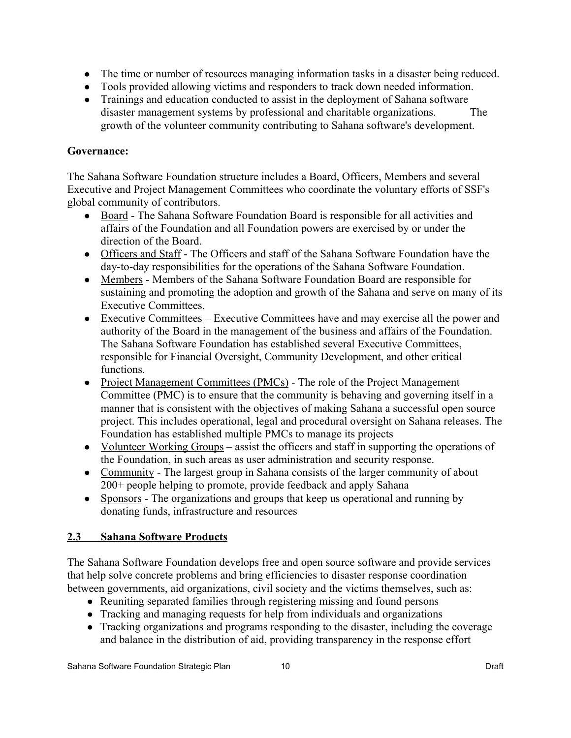- The time or number of resources managing information tasks in a disaster being reduced.
- Tools provided allowing victims and responders to track down needed information.
- Trainings and education conducted to assist in the deployment of Sahana software disaster management systems by professional and charitable organizations. The growth of the volunteer community contributing to Sahana software's development.

## **Governance:**

The Sahana Software Foundation structure includes a Board, Officers, Members and several Executive and Project Management Committees who coordinate the voluntary efforts of SSF's global community of contributors.

- Board The Sahana Software Foundation Board is responsible for all activities and affairs of the Foundation and all Foundation powers are exercised by or under the direction of the Board.
- Officers and Staff The Officers and staff of the Sahana Software Foundation have the day-to-day responsibilities for the operations of the Sahana Software Foundation.
- Members Members of the Sahana Software Foundation Board are responsible for sustaining and promoting the adoption and growth of the Sahana and serve on many of its Executive Committees.
- Executive Committees Executive Committees have and may exercise all the power and authority of the Board in the management of the business and affairs of the Foundation. The Sahana Software Foundation has established several Executive Committees, responsible for Financial Oversight, Community Development, and other critical functions.
- Project Management Committees (PMCs) The role of the Project Management Committee (PMC) is to ensure that the community is behaving and governing itself in a manner that is consistent with the objectives of making Sahana a successful open source project. This includes operational, legal and procedural oversight on Sahana releases. The Foundation has established multiple PMCs to manage its projects
- Volunteer Working Groups assist the officers and staff in supporting the operations of the Foundation, in such areas as user administration and security response.
- Community The largest group in Sahana consists of the larger community of about 200+ people helping to promote, provide feedback and apply Sahana
- Sponsors The organizations and groups that keep us operational and running by donating funds, infrastructure and resources

## **2.3 Sahana Software Products**

The Sahana Software Foundation develops free and open source software and provide services that help solve concrete problems and bring efficiencies to disaster response coordination between governments, aid organizations, civil society and the victims themselves, such as:

- Reuniting separated families through registering missing and found persons
- Tracking and managing requests for help from individuals and organizations
- Tracking organizations and programs responding to the disaster, including the coverage and balance in the distribution of aid, providing transparency in the response effort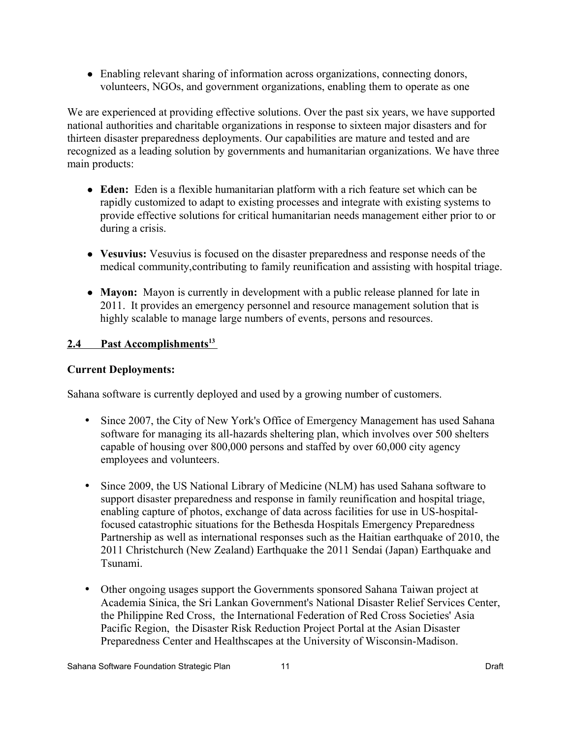● Enabling relevant sharing of information across organizations, connecting donors, volunteers, NGOs, and government organizations, enabling them to operate as one

We are experienced at providing effective solutions. Over the past six years, we have supported national authorities and charitable organizations in response to sixteen major disasters and for thirteen disaster preparedness deployments. Our capabilities are mature and tested and are recognized as a leading solution by governments and humanitarian organizations. We have three main products:

- **Eden:** Eden is a flexible humanitarian platform with a rich feature set which can be rapidly customized to adapt to existing processes and integrate with existing systems to provide effective solutions for critical humanitarian needs management either prior to or during a crisis.
- **Vesuvius:** Vesuvius is focused on the disaster preparedness and response needs of the medical community,contributing to family reunification and assisting with hospital triage.
- **Mayon:** Mayon is currently in development with a public release planned for late in 2011. It provides an emergency personnel and resource management solution that is highly scalable to manage large numbers of events, persons and resources.

## **2.4 Past Accomplishments[13](#page-52-12)**

## **Current Deployments:**

Sahana software is currently deployed and used by a growing number of customers.

- Since 2007, the City of New York's Office of Emergency Management has used Sahana software for managing its all-hazards sheltering plan, which involves over 500 shelters capable of housing over 800,000 persons and staffed by over 60,000 city agency employees and volunteers.
- Since 2009, the US National Library of Medicine (NLM) has used Sahana software to support disaster preparedness and response in family reunification and hospital triage, enabling capture of photos, exchange of data across facilities for use in US-hospitalfocused catastrophic situations for the Bethesda Hospitals Emergency Preparedness Partnership as well as international responses such as the Haitian earthquake of 2010, the 2011 Christchurch (New Zealand) Earthquake the 2011 Sendai (Japan) Earthquake and Tsunami.
- Other ongoing usages support the Governments sponsored Sahana Taiwan project at Academia Sinica, the Sri Lankan Government's National Disaster Relief Services Center, the Philippine Red Cross, the International Federation of Red Cross Societies' Asia Pacific Region, the Disaster Risk Reduction Project Portal at the Asian Disaster Preparedness Center and Healthscapes at the University of Wisconsin-Madison.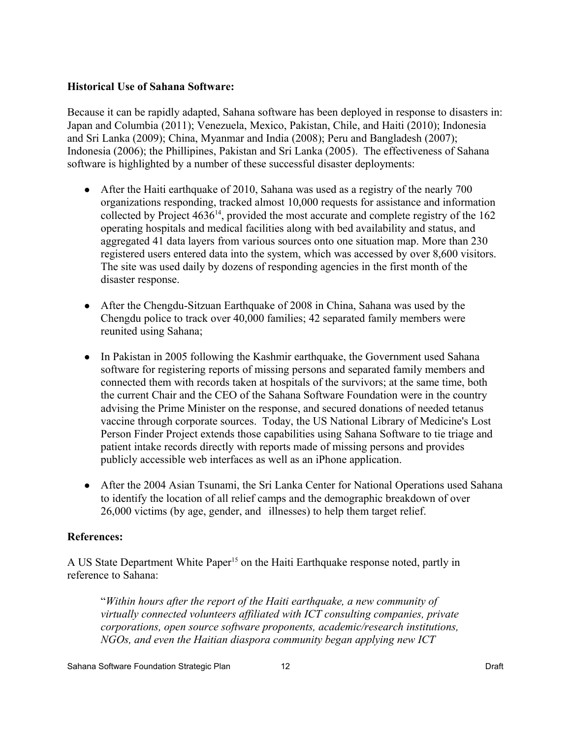#### **Historical Use of Sahana Software:**

Because it can be rapidly adapted, Sahana software has been deployed in response to disasters in: Japan and Columbia (2011); Venezuela, Mexico, Pakistan, Chile, and Haiti (2010); Indonesia and Sri Lanka (2009); China, Myanmar and India (2008); Peru and Bangladesh (2007); Indonesia (2006); the Phillipines, Pakistan and Sri Lanka (2005). The effectiveness of Sahana software is highlighted by a number of these successful disaster deployments:

- After the Haiti earthquake of 2010, Sahana was used as a registry of the nearly 700 organizations responding, tracked almost 10,000 requests for assistance and information collected by Project  $4636^{14}$  $4636^{14}$  $4636^{14}$ , provided the most accurate and complete registry of the 162 operating hospitals and medical facilities along with bed availability and status, and aggregated 41 data layers from various sources onto one situation map. More than 230 registered users entered data into the system, which was accessed by over 8,600 visitors. The site was used daily by dozens of responding agencies in the first month of the disaster response.
- After the Chengdu-Sitzuan Earthquake of 2008 in China, Sahana was used by the Chengdu police to track over 40,000 families; 42 separated family members were reunited using Sahana;
- In Pakistan in 2005 following the Kashmir earthquake, the Government used Sahana software for registering reports of missing persons and separated family members and connected them with records taken at hospitals of the survivors; at the same time, both the current Chair and the CEO of the Sahana Software Foundation were in the country advising the Prime Minister on the response, and secured donations of needed tetanus vaccine through corporate sources. Today, the US National Library of Medicine's Lost Person Finder Project extends those capabilities using Sahana Software to tie triage and patient intake records directly with reports made of missing persons and provides publicly accessible web interfaces as well as an iPhone application.
- After the 2004 Asian Tsunami, the Sri Lanka Center for National Operations used Sahana to identify the location of all relief camps and the demographic breakdown of over 26,000 victims (by age, gender, and illnesses) to help them target relief.

## **References:**

A US State Department White Paper<sup>[15](#page-52-14)</sup> on the Haiti Earthquake response noted, partly in reference to Sahana:

"*Within hours after the report of the Haiti earthquake, a new community of virtually connected volunteers affiliated with ICT consulting companies, private corporations, open source software proponents, academic/research institutions, NGOs, and even the Haitian diaspora community began applying new ICT*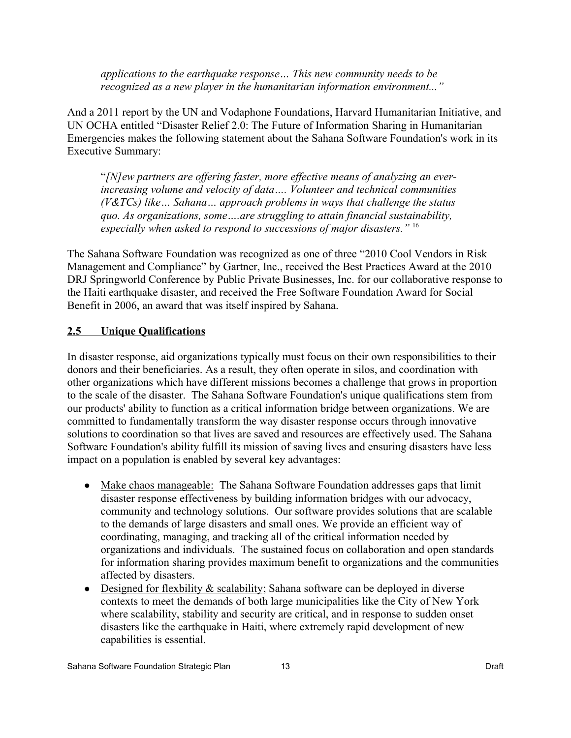*applications to the earthquake response… This new community needs to be recognized as a new player in the humanitarian information environment..."*

And a 2011 report by the UN and Vodaphone Foundations, Harvard Humanitarian Initiative, and UN OCHA entitled "Disaster Relief 2.0: The Future of Information Sharing in Humanitarian Emergencies makes the following statement about the Sahana Software Foundation's work in its Executive Summary:

"*[N]ew partners are offering faster, more effective means of analyzing an everincreasing volume and velocity of data…. Volunteer and technical communities (V&TCs) like… Sahana… approach problems in ways that challenge the status quo. As organizations, some….are struggling to attain financial sustainability, especially when asked to respond to successions of major disasters."* [16](#page-52-15)

The Sahana Software Foundation was recognized as one of three "2010 Cool Vendors in Risk Management and Compliance" by Gartner, Inc., received the Best Practices Award at the 2010 DRJ Springworld Conference by Public Private Businesses, Inc. for our collaborative response to the Haiti earthquake disaster, and received the Free Software Foundation Award for Social Benefit in 2006, an award that was itself inspired by Sahana.

#### **2.5 Unique Qualifications**

In disaster response, aid organizations typically must focus on their own responsibilities to their donors and their beneficiaries. As a result, they often operate in silos, and coordination with other organizations which have different missions becomes a challenge that grows in proportion to the scale of the disaster. The Sahana Software Foundation's unique qualifications stem from our products' ability to function as a critical information bridge between organizations. We are committed to fundamentally transform the way disaster response occurs through innovative solutions to coordination so that lives are saved and resources are effectively used. The Sahana Software Foundation's ability fulfill its mission of saving lives and ensuring disasters have less impact on a population is enabled by several key advantages:

- Make chaos manageable: The Sahana Software Foundation addresses gaps that limit disaster response effectiveness by building information bridges with our advocacy, community and technology solutions. Our software provides solutions that are scalable to the demands of large disasters and small ones. We provide an efficient way of coordinating, managing, and tracking all of the critical information needed by organizations and individuals. The sustained focus on collaboration and open standards for information sharing provides maximum benefit to organizations and the communities affected by disasters.
- Designed for flexbility & scalability; Sahana software can be deployed in diverse contexts to meet the demands of both large municipalities like the City of New York where scalability, stability and security are critical, and in response to sudden onset disasters like the earthquake in Haiti, where extremely rapid development of new capabilities is essential.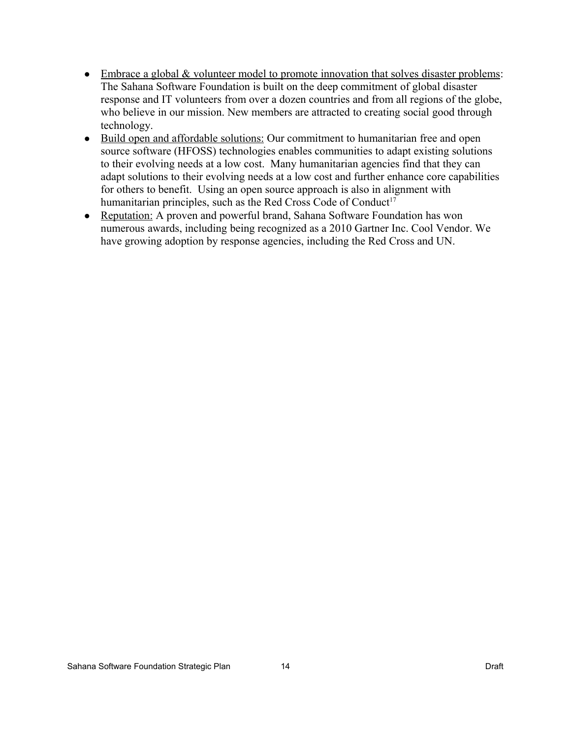- Embrace a global & volunteer model to promote innovation that solves disaster problems: The Sahana Software Foundation is built on the deep commitment of global disaster response and IT volunteers from over a dozen countries and from all regions of the globe, who believe in our mission. New members are attracted to creating social good through technology.
- Build open and affordable solutions: Our commitment to humanitarian free and open source software (HFOSS) technologies enables communities to adapt existing solutions to their evolving needs at a low cost. Many humanitarian agencies find that they can adapt solutions to their evolving needs at a low cost and further enhance core capabilities for others to benefit. Using an open source approach is also in alignment with humanitarian principles, such as the Red Cross Code of Conduct<sup>[17](#page-52-16)</sup>
- Reputation: A proven and powerful brand, Sahana Software Foundation has won numerous awards, including being recognized as a 2010 Gartner Inc. Cool Vendor. We have growing adoption by response agencies, including the Red Cross and UN.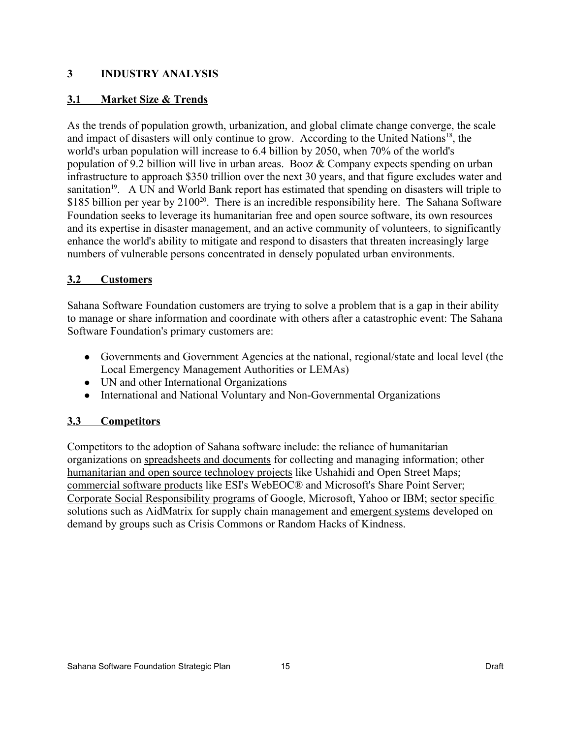## **3 INDUSTRY ANALYSIS**

## **3.1 Market Size & Trends**

As the trends of population growth, urbanization, and global climate change converge, the scale and impact of disasters will only continue to grow. According to the United Nations<sup>[18](#page-52-17)</sup>, the world's urban population will increase to 6.4 billion by 2050, when 70% of the world's population of 9.2 billion will live in urban areas. Booz & Company expects spending on urban infrastructure to approach \$350 trillion over the next 30 years, and that figure excludes water and sanitation<sup>[19](#page-52-18)</sup>. A UN and World Bank report has estimated that spending on disasters will triple to \$185 billion per year by 2100<sup>[20](#page-52-19)</sup>. There is an incredible responsibility here. The Sahana Software Foundation seeks to leverage its humanitarian free and open source software, its own resources and its expertise in disaster management, and an active community of volunteers, to significantly enhance the world's ability to mitigate and respond to disasters that threaten increasingly large numbers of vulnerable persons concentrated in densely populated urban environments.

## **3.2 Customers**

Sahana Software Foundation customers are trying to solve a problem that is a gap in their ability to manage or share information and coordinate with others after a catastrophic event: The Sahana Software Foundation's primary customers are:

- Governments and Government Agencies at the national, regional/state and local level (the Local Emergency Management Authorities or LEMAs)
- UN and other International Organizations
- International and National Voluntary and Non-Governmental Organizations

## **3.3 Competitors**

Competitors to the adoption of Sahana software include: the reliance of humanitarian organizations on spreadsheets and documents for collecting and managing information; other humanitarian and open source technology projects like Ushahidi and Open Street Maps; commercial software products like ESI's WebEOC® and Microsoft's Share Point Server; Corporate Social Responsibility programs of Google, Microsoft, Yahoo or IBM; sector specific solutions such as AidMatrix for supply chain management and emergent systems developed on demand by groups such as Crisis Commons or Random Hacks of Kindness.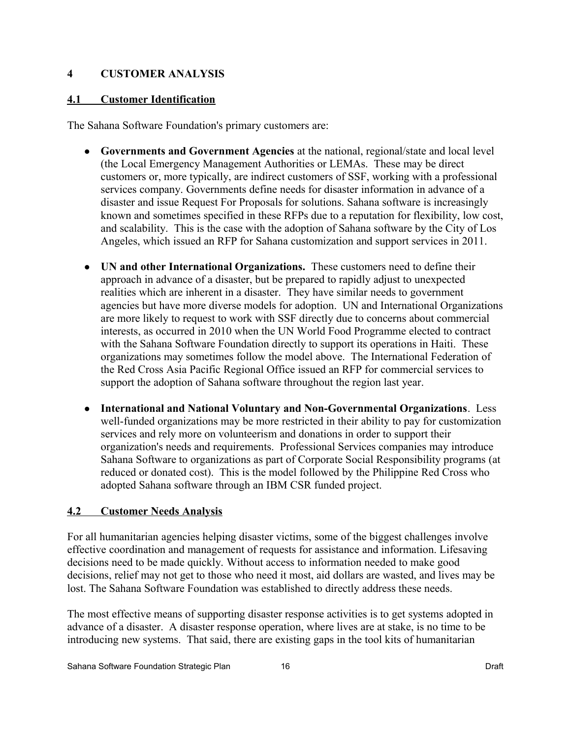## **4 CUSTOMER ANALYSIS**

## **4.1 Customer Identification**

The Sahana Software Foundation's primary customers are:

- **Governments and Government Agencies** at the national, regional/state and local level (the Local Emergency Management Authorities or LEMAs. These may be direct customers or, more typically, are indirect customers of SSF, working with a professional services company. Governments define needs for disaster information in advance of a disaster and issue Request For Proposals for solutions. Sahana software is increasingly known and sometimes specified in these RFPs due to a reputation for flexibility, low cost, and scalability. This is the case with the adoption of Sahana software by the City of Los Angeles, which issued an RFP for Sahana customization and support services in 2011.
- **UN and other International Organizations.** These customers need to define their approach in advance of a disaster, but be prepared to rapidly adjust to unexpected realities which are inherent in a disaster. They have similar needs to government agencies but have more diverse models for adoption. UN and International Organizations are more likely to request to work with SSF directly due to concerns about commercial interests, as occurred in 2010 when the UN World Food Programme elected to contract with the Sahana Software Foundation directly to support its operations in Haiti. These organizations may sometimes follow the model above. The International Federation of the Red Cross Asia Pacific Regional Office issued an RFP for commercial services to support the adoption of Sahana software throughout the region last year.
- **International and National Voluntary and Non-Governmental Organizations**. Less well-funded organizations may be more restricted in their ability to pay for customization services and rely more on volunteerism and donations in order to support their organization's needs and requirements. Professional Services companies may introduce Sahana Software to organizations as part of Corporate Social Responsibility programs (at reduced or donated cost). This is the model followed by the Philippine Red Cross who adopted Sahana software through an IBM CSR funded project.

## **4.2 Customer Needs Analysis**

For all humanitarian agencies helping disaster victims, some of the biggest challenges involve effective coordination and management of requests for assistance and information. Lifesaving decisions need to be made quickly. Without access to information needed to make good decisions, relief may not get to those who need it most, aid dollars are wasted, and lives may be lost. The Sahana Software Foundation was established to directly address these needs.

The most effective means of supporting disaster response activities is to get systems adopted in advance of a disaster. A disaster response operation, where lives are at stake, is no time to be introducing new systems. That said, there are existing gaps in the tool kits of humanitarian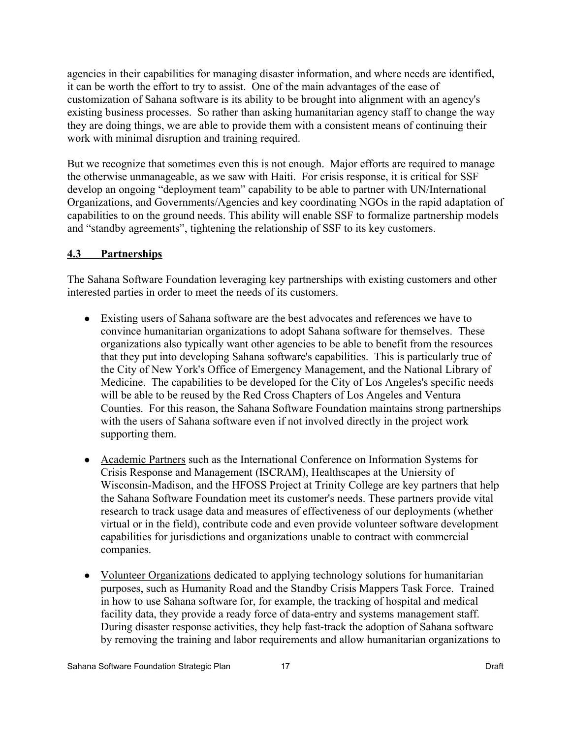agencies in their capabilities for managing disaster information, and where needs are identified, it can be worth the effort to try to assist. One of the main advantages of the ease of customization of Sahana software is its ability to be brought into alignment with an agency's existing business processes. So rather than asking humanitarian agency staff to change the way they are doing things, we are able to provide them with a consistent means of continuing their work with minimal disruption and training required.

But we recognize that sometimes even this is not enough. Major efforts are required to manage the otherwise unmanageable, as we saw with Haiti. For crisis response, it is critical for SSF develop an ongoing "deployment team" capability to be able to partner with UN/International Organizations, and Governments/Agencies and key coordinating NGOs in the rapid adaptation of capabilities to on the ground needs. This ability will enable SSF to formalize partnership models and "standby agreements", tightening the relationship of SSF to its key customers.

## **4.3 Partnerships**

The Sahana Software Foundation leveraging key partnerships with existing customers and other interested parties in order to meet the needs of its customers.

- Existing users of Sahana software are the best advocates and references we have to convince humanitarian organizations to adopt Sahana software for themselves. These organizations also typically want other agencies to be able to benefit from the resources that they put into developing Sahana software's capabilities. This is particularly true of the City of New York's Office of Emergency Management, and the National Library of Medicine. The capabilities to be developed for the City of Los Angeles's specific needs will be able to be reused by the Red Cross Chapters of Los Angeles and Ventura Counties. For this reason, the Sahana Software Foundation maintains strong partnerships with the users of Sahana software even if not involved directly in the project work supporting them.
- Academic Partners such as the International Conference on Information Systems for Crisis Response and Management (ISCRAM), Healthscapes at the Uniersity of Wisconsin-Madison, and the HFOSS Project at Trinity College are key partners that help the Sahana Software Foundation meet its customer's needs. These partners provide vital research to track usage data and measures of effectiveness of our deployments (whether virtual or in the field), contribute code and even provide volunteer software development capabilities for jurisdictions and organizations unable to contract with commercial companies.
- Volunteer Organizations dedicated to applying technology solutions for humanitarian purposes, such as Humanity Road and the Standby Crisis Mappers Task Force. Trained in how to use Sahana software for, for example, the tracking of hospital and medical facility data, they provide a ready force of data-entry and systems management staff. During disaster response activities, they help fast-track the adoption of Sahana software by removing the training and labor requirements and allow humanitarian organizations to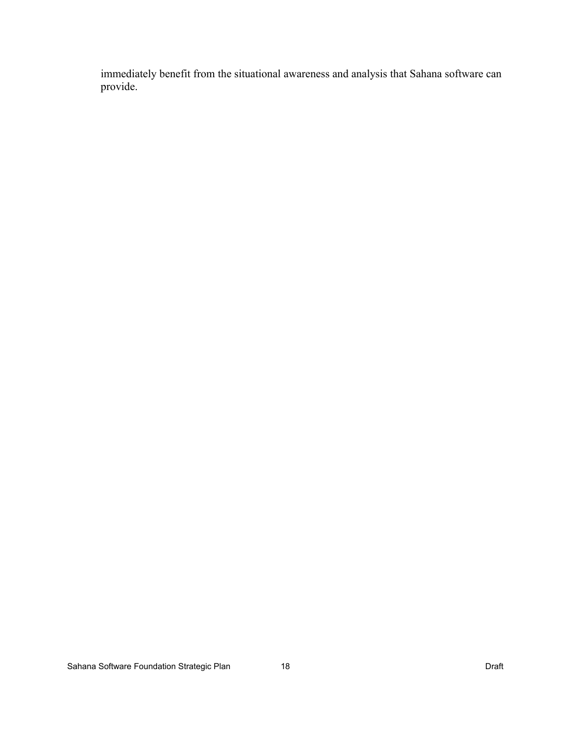immediately benefit from the situational awareness and analysis that Sahana software can provide.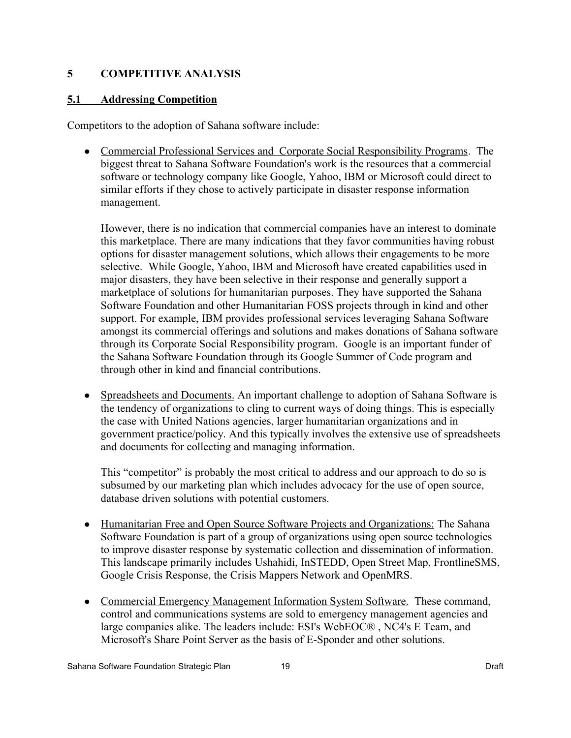## **5 COMPETITIVE ANALYSIS**

## **5.1 Addressing Competition**

Competitors to the adoption of Sahana software include:

• Commercial Professional Services and Corporate Social Responsibility Programs. The biggest threat to Sahana Software Foundation's work is the resources that a commercial software or technology company like Google, Yahoo, IBM or Microsoft could direct to similar efforts if they chose to actively participate in disaster response information management.

However, there is no indication that commercial companies have an interest to dominate this marketplace. There are many indications that they favor communities having robust options for disaster management solutions, which allows their engagements to be more selective. While Google, Yahoo, IBM and Microsoft have created capabilities used in major disasters, they have been selective in their response and generally support a marketplace of solutions for humanitarian purposes. They have supported the Sahana Software Foundation and other Humanitarian FOSS projects through in kind and other support. For example, IBM provides professional services leveraging Sahana Software amongst its commercial offerings and solutions and makes donations of Sahana software through its Corporate Social Responsibility program. Google is an important funder of the Sahana Software Foundation through its Google Summer of Code program and through other in kind and financial contributions.

Spreadsheets and Documents. An important challenge to adoption of Sahana Software is the tendency of organizations to cling to current ways of doing things. This is especially the case with United Nations agencies, larger humanitarian organizations and in government practice/policy. And this typically involves the extensive use of spreadsheets and documents for collecting and managing information.

This "competitor" is probably the most critical to address and our approach to do so is subsumed by our marketing plan which includes advocacy for the use of open source, database driven solutions with potential customers.

- Humanitarian Free and Open Source Software Projects and Organizations: The Sahana Software Foundation is part of a group of organizations using open source technologies to improve disaster response by systematic collection and dissemination of information. This landscape primarily includes Ushahidi, InSTEDD, Open Street Map, FrontlineSMS, Google Crisis Response, the Crisis Mappers Network and OpenMRS.
- Commercial Emergency Management Information System Software. These command, control and communications systems are sold to emergency management agencies and large companies alike. The leaders include: ESI's WebEOC® , NC4's E Team, and Microsoft's Share Point Server as the basis of E-Sponder and other solutions.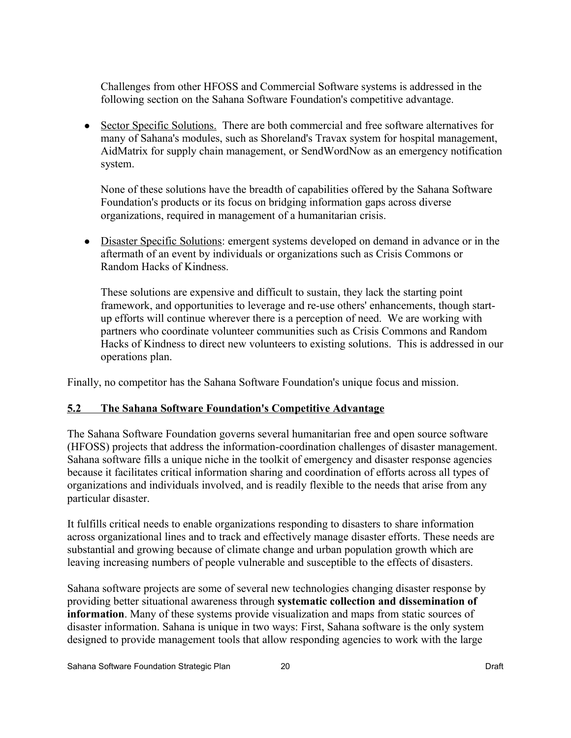Challenges from other HFOSS and Commercial Software systems is addressed in the following section on the Sahana Software Foundation's competitive advantage.

• Sector Specific Solutions. There are both commercial and free software alternatives for many of Sahana's modules, such as Shoreland's Travax system for hospital management, AidMatrix for supply chain management, or SendWordNow as an emergency notification system.

None of these solutions have the breadth of capabilities offered by the Sahana Software Foundation's products or its focus on bridging information gaps across diverse organizations, required in management of a humanitarian crisis.

• Disaster Specific Solutions: emergent systems developed on demand in advance or in the aftermath of an event by individuals or organizations such as Crisis Commons or Random Hacks of Kindness.

These solutions are expensive and difficult to sustain, they lack the starting point framework, and opportunities to leverage and re-use others' enhancements, though startup efforts will continue wherever there is a perception of need. We are working with partners who coordinate volunteer communities such as Crisis Commons and Random Hacks of Kindness to direct new volunteers to existing solutions. This is addressed in our operations plan.

Finally, no competitor has the Sahana Software Foundation's unique focus and mission.

## **5.2 The Sahana Software Foundation's Competitive Advantage**

The Sahana Software Foundation governs several humanitarian free and open source software (HFOSS) projects that address the information-coordination challenges of disaster management. Sahana software fills a unique niche in the toolkit of emergency and disaster response agencies because it facilitates critical information sharing and coordination of efforts across all types of organizations and individuals involved, and is readily flexible to the needs that arise from any particular disaster.

It fulfills critical needs to enable organizations responding to disasters to share information across organizational lines and to track and effectively manage disaster efforts. These needs are substantial and growing because of climate change and urban population growth which are leaving increasing numbers of people vulnerable and susceptible to the effects of disasters.

Sahana software projects are some of several new technologies changing disaster response by providing better situational awareness through **systematic collection and dissemination of information**. Many of these systems provide visualization and maps from static sources of disaster information. Sahana is unique in two ways: First, Sahana software is the only system designed to provide management tools that allow responding agencies to work with the large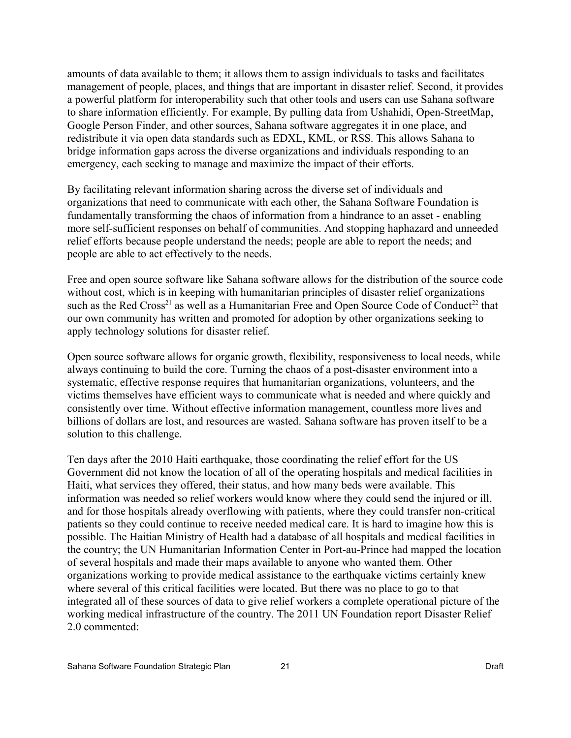amounts of data available to them; it allows them to assign individuals to tasks and facilitates management of people, places, and things that are important in disaster relief. Second, it provides a powerful platform for interoperability such that other tools and users can use Sahana software to share information efficiently. For example, By pulling data from Ushahidi, Open-StreetMap, Google Person Finder, and other sources, Sahana software aggregates it in one place, and redistribute it via open data standards such as EDXL, KML, or RSS. This allows Sahana to bridge information gaps across the diverse organizations and individuals responding to an emergency, each seeking to manage and maximize the impact of their efforts.

By facilitating relevant information sharing across the diverse set of individuals and organizations that need to communicate with each other, the Sahana Software Foundation is fundamentally transforming the chaos of information from a hindrance to an asset - enabling more self-sufficient responses on behalf of communities. And stopping haphazard and unneeded relief efforts because people understand the needs; people are able to report the needs; and people are able to act effectively to the needs.

Free and open source software like Sahana software allows for the distribution of the source code without cost, which is in keeping with humanitarian principles of disaster relief organizations such as the Red Cross<sup>[21](#page-52-20)</sup> as well as a Humanitarian Free and Open Source Code of Conduct<sup>[22](#page-52-21)</sup> that our own community has written and promoted for adoption by other organizations seeking to apply technology solutions for disaster relief.

Open source software allows for organic growth, flexibility, responsiveness to local needs, while always continuing to build the core. Turning the chaos of a post-disaster environment into a systematic, effective response requires that humanitarian organizations, volunteers, and the victims themselves have efficient ways to communicate what is needed and where quickly and consistently over time. Without effective information management, countless more lives and billions of dollars are lost, and resources are wasted. Sahana software has proven itself to be a solution to this challenge.

Ten days after the 2010 Haiti earthquake, those coordinating the relief effort for the US Government did not know the location of all of the operating hospitals and medical facilities in Haiti, what services they offered, their status, and how many beds were available. This information was needed so relief workers would know where they could send the injured or ill, and for those hospitals already overflowing with patients, where they could transfer non-critical patients so they could continue to receive needed medical care. It is hard to imagine how this is possible. The Haitian Ministry of Health had a database of all hospitals and medical facilities in the country; the UN Humanitarian Information Center in Port-au-Prince had mapped the location of several hospitals and made their maps available to anyone who wanted them. Other organizations working to provide medical assistance to the earthquake victims certainly knew where several of this critical facilities were located. But there was no place to go to that integrated all of these sources of data to give relief workers a complete operational picture of the working medical infrastructure of the country. The 2011 UN Foundation report Disaster Relief 2.0 commented: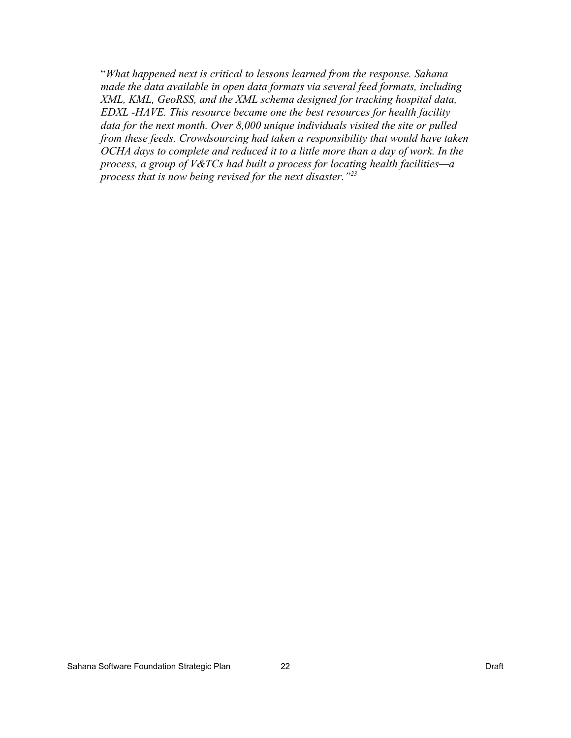"*What happened next is critical to lessons learned from the response. Sahana made the data available in open data formats via several feed formats, including XML, KML, GeoRSS, and the XML schema designed for tracking hospital data, EDXL -HAVE. This resource became one the best resources for health facility data for the next month. Over 8,000 unique individuals visited the site or pulled from these feeds. Crowdsourcing had taken a responsibility that would have taken OCHA days to complete and reduced it to a little more than a day of work. In the process, a group of V&TCs had built a process for locating health facilities—a process that is now being revised for the next disaster."[23](#page-52-22)*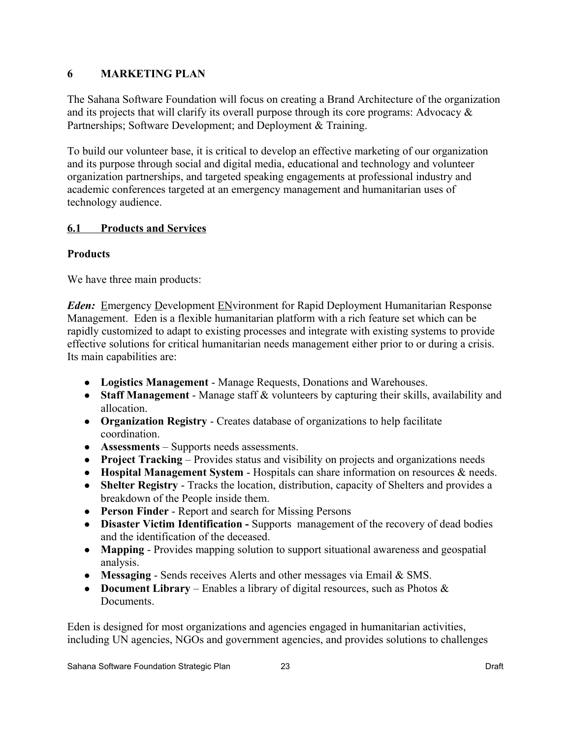## **6 MARKETING PLAN**

The Sahana Software Foundation will focus on creating a Brand Architecture of the organization and its projects that will clarify its overall purpose through its core programs: Advocacy & Partnerships; Software Development; and Deployment & Training.

To build our volunteer base, it is critical to develop an effective marketing of our organization and its purpose through social and digital media, educational and technology and volunteer organization partnerships, and targeted speaking engagements at professional industry and academic conferences targeted at an emergency management and humanitarian uses of technology audience.

## **6.1 Products and Services**

## **Products**

We have three main products:

*Eden:* Emergency Development ENvironment for Rapid Deployment Humanitarian Response Management. Eden is a flexible humanitarian platform with a rich feature set which can be rapidly customized to adapt to existing processes and integrate with existing systems to provide effective solutions for critical humanitarian needs management either prior to or during a crisis. Its main capabilities are:

- **Logistics Management**  Manage Requests, Donations and Warehouses.
- **Staff Management** Manage staff & volunteers by capturing their skills, availability and allocation.
- **Organization Registry** Creates database of organizations to help facilitate coordination.
- **Assessments** Supports needs assessments.
- **Project Tracking** Provides status and visibility on projects and organizations needs
- **Hospital Management System** Hospitals can share information on resources & needs.
- **Shelter Registry** Tracks the location, distribution, capacity of Shelters and provides a breakdown of the People inside them.
- **Person Finder** Report and search for Missing Persons
- **Disaster Victim Identification** Supports management of the recovery of dead bodies and the identification of the deceased.
- **Mapping** Provides mapping solution to support situational awareness and geospatial analysis.
- **Messaging** Sends receives Alerts and other messages via Email & SMS.
- **Document Library** Enables a library of digital resources, such as Photos & **Documents**

Eden is designed for most organizations and agencies engaged in humanitarian activities, including UN agencies, NGOs and government agencies, and provides solutions to challenges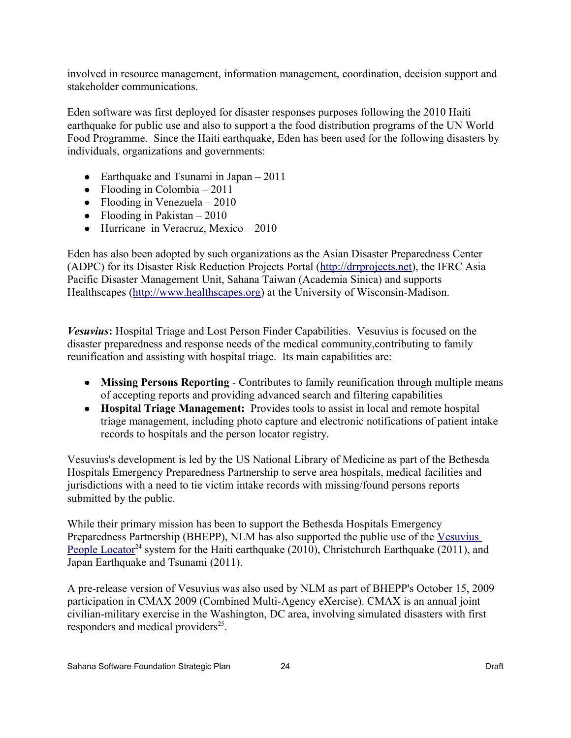involved in resource management, information management, coordination, decision support and stakeholder communications.

Eden software was first deployed for disaster responses purposes following the 2010 Haiti earthquake for public use and also to support a the food distribution programs of the UN World Food Programme. Since the Haiti earthquake, Eden has been used for the following disasters by individuals, organizations and governments:

- Earthquake and Tsunami in Japan  $2011$
- Flooding in Colombia  $2011$
- Flooding in Venezuela  $2010$
- Flooding in Pakistan  $-2010$
- Hurricane in Veracruz, Mexico 2010

Eden has also been adopted by such organizations as the Asian Disaster Preparedness Center (ADPC) for its Disaster Risk Reduction Projects Portal [\(http://drrprojects.net\)](http://drrprojects.net/), the IFRC Asia Pacific Disaster Management Unit, Sahana Taiwan (Academia Sinica) and supports Healthscapes [\(http://www.healthscapes.org\)](http://www.healthscapes.org/) at the University of Wisconsin-Madison.

*Vesuvius***:** Hospital Triage and Lost Person Finder Capabilities. Vesuvius is focused on the disaster preparedness and response needs of the medical community,contributing to family reunification and assisting with hospital triage. Its main capabilities are:

- **Missing Persons Reporting** Contributes to family reunification through multiple means of accepting reports and providing advanced search and filtering capabilities
- **Hospital Triage Management:** Provides tools to assist in local and remote hospital triage management, including photo capture and electronic notifications of patient intake records to hospitals and the person locator registry.

Vesuvius's development is led by the US National Library of Medicine as part of the Bethesda Hospitals Emergency Preparedness Partnership to serve area hospitals, medical facilities and jurisdictions with a need to tie victim intake records with missing/found persons reports submitted by the public.

While their primary mission has been to support the Bethesda Hospitals Emergency Preparedness Partnership (BHEPP), NLM has also supported the public use of the [Vesuvius](https://pl.nlm.nih.gov/) [People Locator](https://pl.nlm.nih.gov/)<sup>[24](#page-52-23)</sup> system for the Haiti earthquake (2010), Christchurch Earthquake (2011), and Japan Earthquake and Tsunami (2011).

A pre-release version of Vesuvius was also used by NLM as part of BHEPP's October 15, 2009 participation in CMAX 2009 (Combined Multi-Agency eXercise). CMAX is an annual joint civilian-military exercise in the Washington, DC area, involving simulated disasters with first responders and medical providers<sup>[25](#page-52-24)</sup>.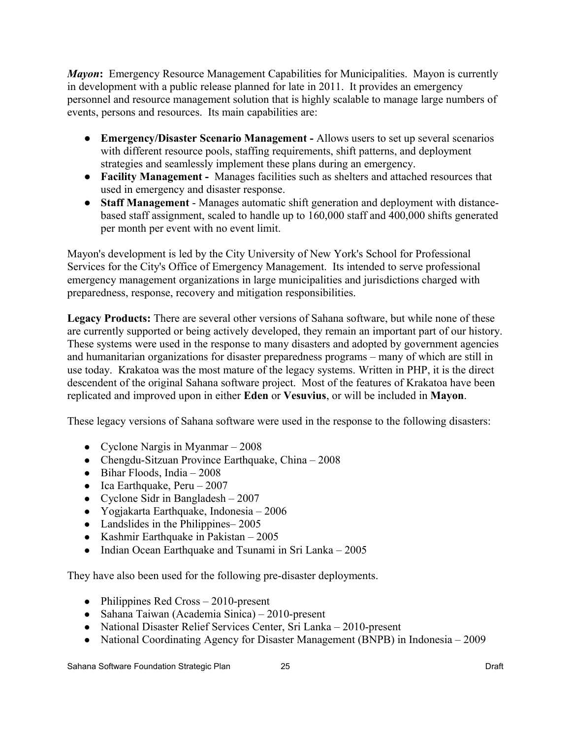*Mayon*: Emergency Resource Management Capabilities for Municipalities. Mayon is currently in development with a public release planned for late in 2011. It provides an emergency personnel and resource management solution that is highly scalable to manage large numbers of events, persons and resources. Its main capabilities are:

- **● Emergency/Disaster Scenario Management -** Allows users to set up several scenarios with different resource pools, staffing requirements, shift patterns, and deployment strategies and seamlessly implement these plans during an emergency.
- **● Facility Management** Manages facilities such as shelters and attached resources that used in emergency and disaster response.
- **● Staff Management** Manages automatic shift generation and deployment with distancebased staff assignment, scaled to handle up to 160,000 staff and 400,000 shifts generated per month per event with no event limit.

Mayon's development is led by the City University of New York's School for Professional Services for the City's Office of Emergency Management. Its intended to serve professional emergency management organizations in large municipalities and jurisdictions charged with preparedness, response, recovery and mitigation responsibilities.

**Legacy Products:** There are several other versions of Sahana software, but while none of these are currently supported or being actively developed, they remain an important part of our history. These systems were used in the response to many disasters and adopted by government agencies and humanitarian organizations for disaster preparedness programs – many of which are still in use today. Krakatoa was the most mature of the legacy systems. Written in PHP, it is the direct descendent of the original Sahana software project. Most of the features of Krakatoa have been replicated and improved upon in either **Eden** or **Vesuvius**, or will be included in **Mayon**.

These legacy versions of Sahana software were used in the response to the following disasters:

- Cyclone Nargis in Myanmar  $-2008$
- Chengdu-Sitzuan Province Earthquake, China 2008
- $\bullet$  Bihar Floods, India 2008
- Ica Earthquake, Peru  $2007$
- Cyclone Sidr in Bangladesh  $-2007$
- Yogjakarta Earthquake, Indonesia 2006
- Landslides in the Philippines–2005
- Kashmir Earthquake in Pakistan  $-2005$
- Indian Ocean Earthquake and Tsunami in Sri Lanka 2005

They have also been used for the following pre-disaster deployments.

- Philippines Red Cross 2010-present
- Sahana Taiwan (Academia Sinica) 2010-present
- National Disaster Relief Services Center, Sri Lanka 2010-present
- National Coordinating Agency for Disaster Management (BNPB) in Indonesia 2009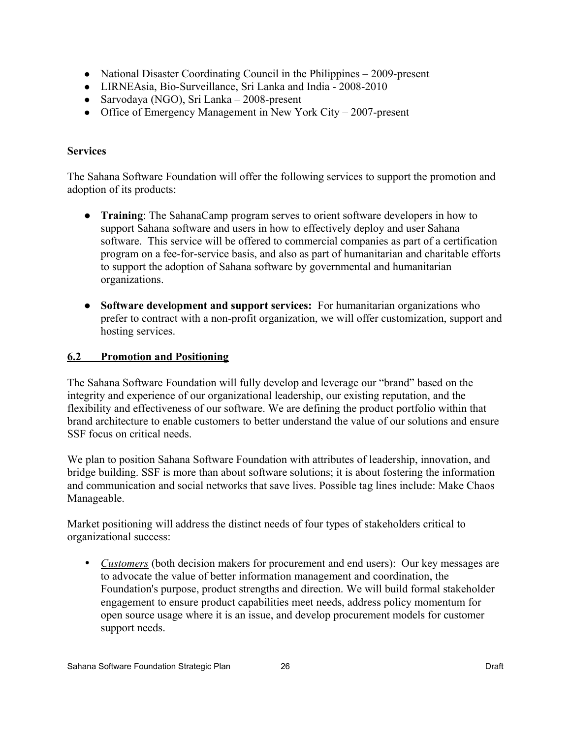- National Disaster Coordinating Council in the Philippines 2009-present
- LIRNEAsia, Bio-Surveillance, Sri Lanka and India 2008-2010
- Sarvodaya (NGO), Sri Lanka 2008-present
- Office of Emergency Management in New York City 2007-present

## **Services**

The Sahana Software Foundation will offer the following services to support the promotion and adoption of its products:

- **● Training**: The SahanaCamp program serves to orient software developers in how to support Sahana software and users in how to effectively deploy and user Sahana software. This service will be offered to commercial companies as part of a certification program on a fee-for-service basis, and also as part of humanitarian and charitable efforts to support the adoption of Sahana software by governmental and humanitarian organizations.
- **● Software development and support services:** For humanitarian organizations who prefer to contract with a non-profit organization, we will offer customization, support and hosting services.

## **6.2 Promotion and Positioning**

The Sahana Software Foundation will fully develop and leverage our "brand" based on the integrity and experience of our organizational leadership, our existing reputation, and the flexibility and effectiveness of our software. We are defining the product portfolio within that brand architecture to enable customers to better understand the value of our solutions and ensure SSF focus on critical needs.

We plan to position Sahana Software Foundation with attributes of leadership, innovation, and bridge building. SSF is more than about software solutions; it is about fostering the information and communication and social networks that save lives. Possible tag lines include: Make Chaos Manageable.

Market positioning will address the distinct needs of four types of stakeholders critical to organizational success:

• *Customers* (both decision makers for procurement and end users): Our key messages are to advocate the value of better information management and coordination, the Foundation's purpose, product strengths and direction. We will build formal stakeholder engagement to ensure product capabilities meet needs, address policy momentum for open source usage where it is an issue, and develop procurement models for customer support needs.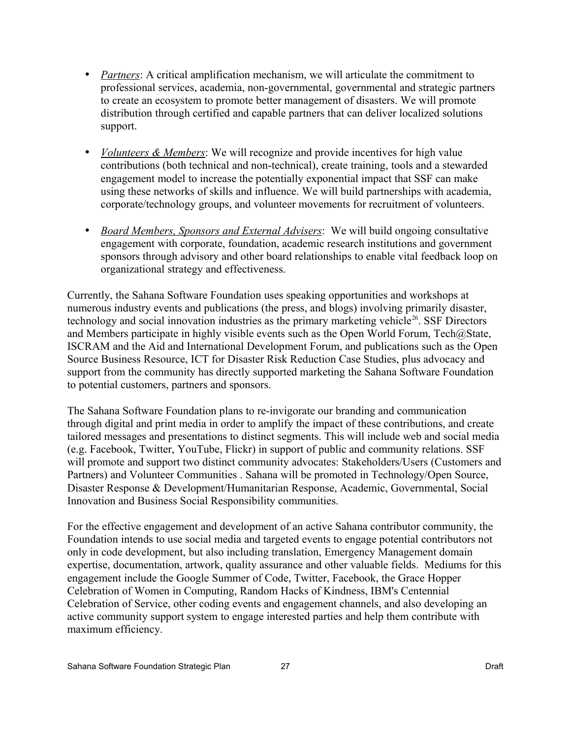- *Partners*: A critical amplification mechanism, we will articulate the commitment to professional services, academia, non-governmental, governmental and strategic partners to create an ecosystem to promote better management of disasters. We will promote distribution through certified and capable partners that can deliver localized solutions support.
- • *Volunteers & Members*: We will recognize and provide incentives for high value contributions (both technical and non-technical), create training, tools and a stewarded engagement model to increase the potentially exponential impact that SSF can make using these networks of skills and influence. We will build partnerships with academia, corporate/technology groups, and volunteer movements for recruitment of volunteers.
- • *Board Members, Sponsors and External Advisers*: We will build ongoing consultative engagement with corporate, foundation, academic research institutions and government sponsors through advisory and other board relationships to enable vital feedback loop on organizational strategy and effectiveness.

Currently, the Sahana Software Foundation uses speaking opportunities and workshops at numerous industry events and publications (the press, and blogs) involving primarily disaster, technology and social innovation industries as the primary marketing vehicle<sup>[26](#page-52-25)</sup>. SSF Directors and Members participate in highly visible events such as the Open World Forum, Tech@State, ISCRAM and the Aid and International Development Forum, and publications such as the Open Source Business Resource, ICT for Disaster Risk Reduction Case Studies, plus advocacy and support from the community has directly supported marketing the Sahana Software Foundation to potential customers, partners and sponsors.

The Sahana Software Foundation plans to re-invigorate our branding and communication through digital and print media in order to amplify the impact of these contributions, and create tailored messages and presentations to distinct segments. This will include web and social media (e.g. Facebook, Twitter, YouTube, Flickr) in support of public and community relations. SSF will promote and support two distinct community advocates: Stakeholders/Users (Customers and Partners) and Volunteer Communities . Sahana will be promoted in Technology/Open Source, Disaster Response & Development/Humanitarian Response, Academic, Governmental, Social Innovation and Business Social Responsibility communities.

For the effective engagement and development of an active Sahana contributor community, the Foundation intends to use social media and targeted events to engage potential contributors not only in code development, but also including translation, Emergency Management domain expertise, documentation, artwork, quality assurance and other valuable fields. Mediums for this engagement include the Google Summer of Code, Twitter, Facebook, the Grace Hopper Celebration of Women in Computing, Random Hacks of Kindness, IBM's Centennial Celebration of Service, other coding events and engagement channels, and also developing an active community support system to engage interested parties and help them contribute with maximum efficiency.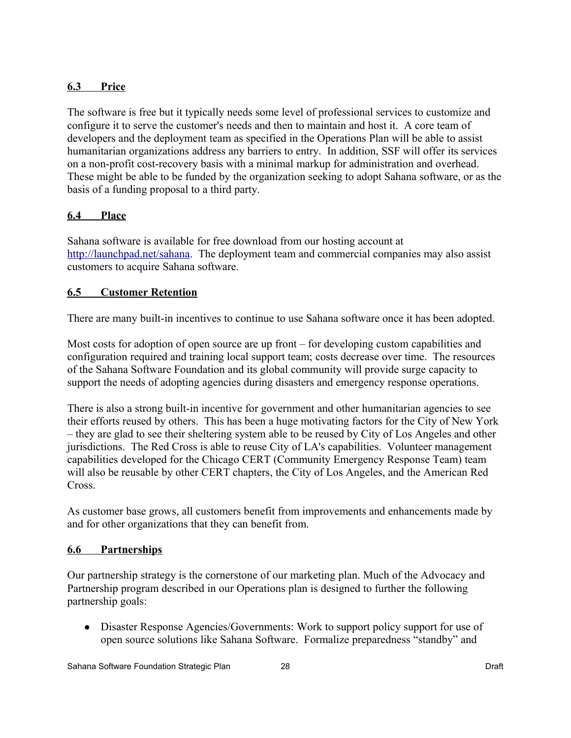## **6.3 Price**

The software is free but it typically needs some level of professional services to customize and configure it to serve the customer's needs and then to maintain and host it. A core team of developers and the deployment team as specified in the Operations Plan will be able to assist humanitarian organizations address any barriers to entry. In addition, SSF will offer its services on a non-profit cost-recovery basis with a minimal markup for administration and overhead. These might be able to be funded by the organization seeking to adopt Sahana software, or as the basis of a funding proposal to a third party.

## **6.4 Place**

Sahana software is available for free download from our hosting account at [http://launchpad.net/sahana.](http://launchpad.net/sahana) The deployment team and commercial companies may also assist customers to acquire Sahana software.

## **6.5 Customer Retention**

There are many built-in incentives to continue to use Sahana software once it has been adopted.

Most costs for adoption of open source are up front – for developing custom capabilities and configuration required and training local support team; costs decrease over time. The resources of the Sahana Software Foundation and its global community will provide surge capacity to support the needs of adopting agencies during disasters and emergency response operations.

There is also a strong built-in incentive for government and other humanitarian agencies to see their efforts reused by others. This has been a huge motivating factors for the City of New York – they are glad to see their sheltering system able to be reused by City of Los Angeles and other jurisdictions. The Red Cross is able to reuse City of LA's capabilities. Volunteer management capabilities developed for the Chicago CERT (Community Emergency Response Team) team will also be reusable by other CERT chapters, the City of Los Angeles, and the American Red Cross.

As customer base grows, all customers benefit from improvements and enhancements made by and for other organizations that they can benefit from.

## **6.6 Partnerships**

Our partnership strategy is the cornerstone of our marketing plan. Much of the Advocacy and Partnership program described in our Operations plan is designed to further the following partnership goals:

• Disaster Response Agencies/Governments: Work to support policy support for use of open source solutions like Sahana Software. Formalize preparedness "standby" and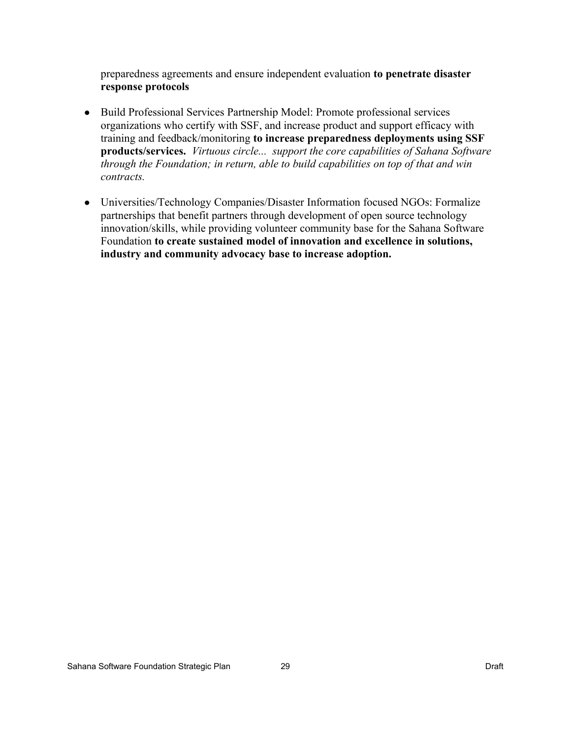preparedness agreements and ensure independent evaluation **to penetrate disaster response protocols**

- Build Professional Services Partnership Model: Promote professional services organizations who certify with SSF, and increase product and support efficacy with training and feedback/monitoring **to increase preparedness deployments using SSF products/services.** *Virtuous circle... support the core capabilities of Sahana Software through the Foundation; in return, able to build capabilities on top of that and win contracts.*
- Universities/Technology Companies/Disaster Information focused NGOs: Formalize partnerships that benefit partners through development of open source technology innovation/skills, while providing volunteer community base for the Sahana Software Foundation **to create sustained model of innovation and excellence in solutions, industry and community advocacy base to increase adoption.**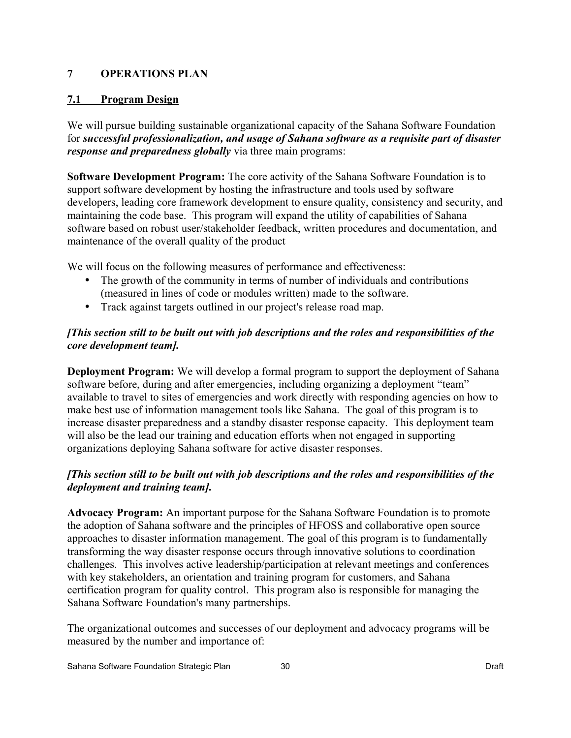## **7 OPERATIONS PLAN**

#### **7.1 Program Design**

We will pursue building sustainable organizational capacity of the Sahana Software Foundation for *successful professionalization, and usage of Sahana software as a requisite part of disaster response and preparedness globally* via three main programs:

**Software Development Program:** The core activity of the Sahana Software Foundation is to support software development by hosting the infrastructure and tools used by software developers, leading core framework development to ensure quality, consistency and security, and maintaining the code base. This program will expand the utility of capabilities of Sahana software based on robust user/stakeholder feedback, written procedures and documentation, and maintenance of the overall quality of the product

We will focus on the following measures of performance and effectiveness:

- The growth of the community in terms of number of individuals and contributions (measured in lines of code or modules written) made to the software.
- Track against targets outlined in our project's release road map.

## *[This section still to be built out with job descriptions and the roles and responsibilities of the core development team].*

**Deployment Program:** We will develop a formal program to support the deployment of Sahana software before, during and after emergencies, including organizing a deployment "team" available to travel to sites of emergencies and work directly with responding agencies on how to make best use of information management tools like Sahana. The goal of this program is to increase disaster preparedness and a standby disaster response capacity. This deployment team will also be the lead our training and education efforts when not engaged in supporting organizations deploying Sahana software for active disaster responses.

## *[This section still to be built out with job descriptions and the roles and responsibilities of the deployment and training team].*

**Advocacy Program:** An important purpose for the Sahana Software Foundation is to promote the adoption of Sahana software and the principles of HFOSS and collaborative open source approaches to disaster information management. The goal of this program is to fundamentally transforming the way disaster response occurs through innovative solutions to coordination challenges. This involves active leadership/participation at relevant meetings and conferences with key stakeholders, an orientation and training program for customers, and Sahana certification program for quality control. This program also is responsible for managing the Sahana Software Foundation's many partnerships.

The organizational outcomes and successes of our deployment and advocacy programs will be measured by the number and importance of: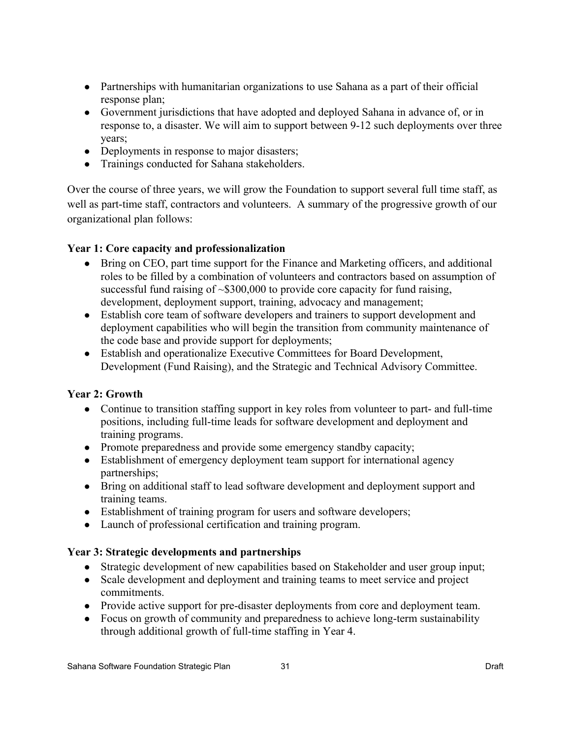- Partnerships with humanitarian organizations to use Sahana as a part of their official response plan;
- Government jurisdictions that have adopted and deployed Sahana in advance of, or in response to, a disaster. We will aim to support between 9-12 such deployments over three years;
- Deployments in response to major disasters;
- Trainings conducted for Sahana stakeholders.

Over the course of three years, we will grow the Foundation to support several full time staff, as well as part-time staff, contractors and volunteers. A summary of the progressive growth of our organizational plan follows:

## **Year 1: Core capacity and professionalization**

- Bring on CEO, part time support for the Finance and Marketing officers, and additional roles to be filled by a combination of volunteers and contractors based on assumption of successful fund raising of ~\$300,000 to provide core capacity for fund raising, development, deployment support, training, advocacy and management;
- Establish core team of software developers and trainers to support development and deployment capabilities who will begin the transition from community maintenance of the code base and provide support for deployments;
- Establish and operationalize Executive Committees for Board Development, Development (Fund Raising), and the Strategic and Technical Advisory Committee.

## **Year 2: Growth**

- Continue to transition staffing support in key roles from volunteer to part- and full-time positions, including full-time leads for software development and deployment and training programs.
- Promote preparedness and provide some emergency standby capacity;
- Establishment of emergency deployment team support for international agency partnerships;
- Bring on additional staff to lead software development and deployment support and training teams.
- Establishment of training program for users and software developers;
- Launch of professional certification and training program.

## **Year 3: Strategic developments and partnerships**

- Strategic development of new capabilities based on Stakeholder and user group input;
- Scale development and deployment and training teams to meet service and project commitments.
- Provide active support for pre-disaster deployments from core and deployment team.
- Focus on growth of community and preparedness to achieve long-term sustainability through additional growth of full-time staffing in Year 4.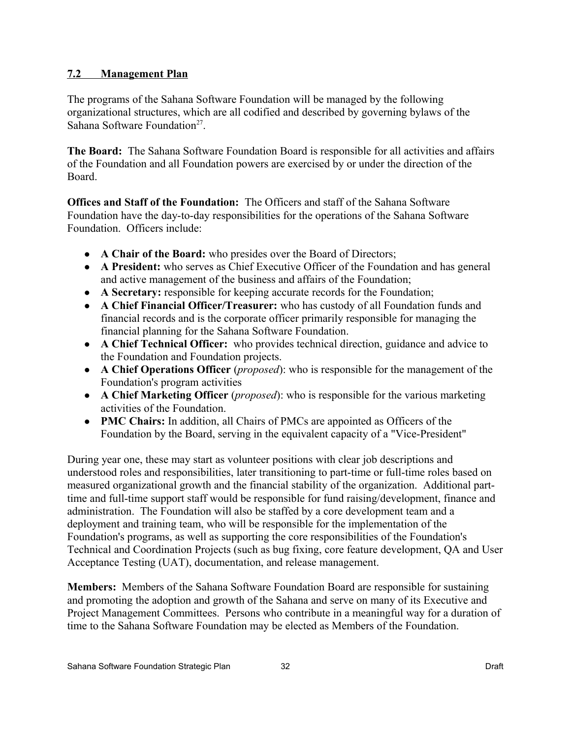## **7.2 Management Plan**

The programs of the Sahana Software Foundation will be managed by the following organizational structures, which are all codified and described by governing bylaws of the Sahana Software Foundation<sup>[27](#page-52-26)</sup>.

**The Board:** The Sahana Software Foundation Board is responsible for all activities and affairs of the Foundation and all Foundation powers are exercised by or under the direction of the Board.

**Offices and Staff of the Foundation:** The Officers and staff of the Sahana Software Foundation have the day-to-day responsibilities for the operations of the Sahana Software Foundation. Officers include:

- A Chair of the Board: who presides over the Board of Directors;
- **A President:** who serves as Chief Executive Officer of the Foundation and has general and active management of the business and affairs of the Foundation;
- **A Secretary:** responsible for keeping accurate records for the Foundation;
- **A Chief Financial Officer/Treasurer:** who has custody of all Foundation funds and financial records and is the corporate officer primarily responsible for managing the financial planning for the Sahana Software Foundation.
- **A Chief Technical Officer:** who provides technical direction, guidance and advice to the Foundation and Foundation projects.
- **A Chief Operations Officer** (*proposed*): who is responsible for the management of the Foundation's program activities
- **A Chief Marketing Officer** (*proposed*): who is responsible for the various marketing activities of the Foundation.
- **PMC Chairs:** In addition, all Chairs of PMCs are appointed as Officers of the Foundation by the Board, serving in the equivalent capacity of a "Vice-President"

During year one, these may start as volunteer positions with clear job descriptions and understood roles and responsibilities, later transitioning to part-time or full-time roles based on measured organizational growth and the financial stability of the organization. Additional parttime and full-time support staff would be responsible for fund raising/development, finance and administration. The Foundation will also be staffed by a core development team and a deployment and training team, who will be responsible for the implementation of the Foundation's programs, as well as supporting the core responsibilities of the Foundation's Technical and Coordination Projects (such as bug fixing, core feature development, QA and User Acceptance Testing (UAT), documentation, and release management.

**Members:** Members of the Sahana Software Foundation Board are responsible for sustaining and promoting the adoption and growth of the Sahana and serve on many of its Executive and Project Management Committees. Persons who contribute in a meaningful way for a duration of time to the Sahana Software Foundation may be elected as Members of the Foundation.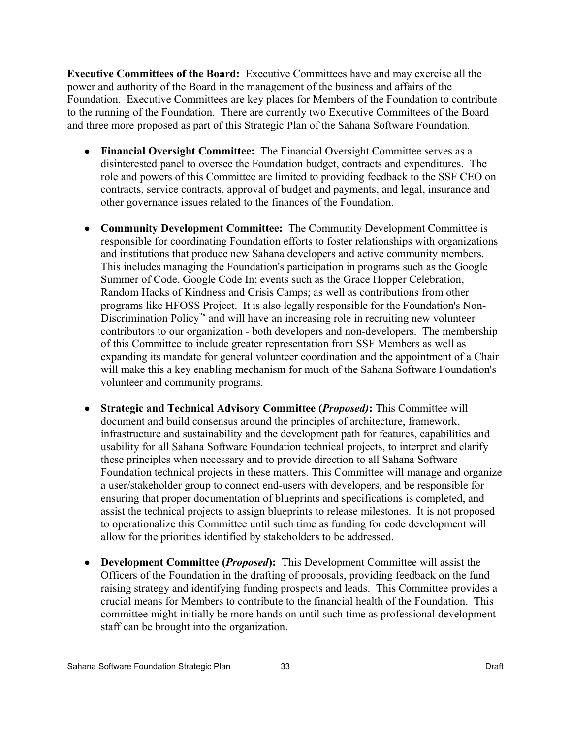**Executive Committees of the Board:** Executive Committees have and may exercise all the power and authority of the Board in the management of the business and affairs of the Foundation. Executive Committees are key places for Members of the Foundation to contribute to the running of the Foundation. There are currently two Executive Committees of the Board and three more proposed as part of this Strategic Plan of the Sahana Software Foundation.

- **Financial Oversight Committee:** The Financial Oversight Committee serves as a disinterested panel to oversee the Foundation budget, contracts and expenditures. The role and powers of this Committee are limited to providing feedback to the SSF CEO on contracts, service contracts, approval of budget and payments, and legal, insurance and other governance issues related to the finances of the Foundation.
- **Community Development Committee:** The Community Development Committee is responsible for coordinating Foundation efforts to foster relationships with organizations and institutions that produce new Sahana developers and active community members. This includes managing the Foundation's participation in programs such as the Google Summer of Code, Google Code In; events such as the Grace Hopper Celebration, Random Hacks of Kindness and Crisis Camps; as well as contributions from other programs like HFOSS Project. It is also legally responsible for the Foundation's Non-Discrimination Policy<sup>[28](#page-52-27)</sup> and will have an increasing role in recruiting new volunteer contributors to our organization - both developers and non-developers. The membership of this Committee to include greater representation from SSF Members as well as expanding its mandate for general volunteer coordination and the appointment of a Chair will make this a key enabling mechanism for much of the Sahana Software Foundation's volunteer and community programs.
- **Strategic and Technical Advisory Committee (***Proposed)***:** This Committee will document and build consensus around the principles of architecture, framework, infrastructure and sustainability and the development path for features, capabilities and usability for all Sahana Software Foundation technical projects, to interpret and clarify these principles when necessary and to provide direction to all Sahana Software Foundation technical projects in these matters. This Committee will manage and organize a user/stakeholder group to connect end-users with developers, and be responsible for ensuring that proper documentation of blueprints and specifications is completed, and assist the technical projects to assign blueprints to release milestones. It is not proposed to operationalize this Committee until such time as funding for code development will allow for the priorities identified by stakeholders to be addressed.
- **Development Committee (***Proposed***):** This Development Committee will assist the Officers of the Foundation in the drafting of proposals, providing feedback on the fund raising strategy and identifying funding prospects and leads. This Committee provides a crucial means for Members to contribute to the financial health of the Foundation. This committee might initially be more hands on until such time as professional development staff can be brought into the organization.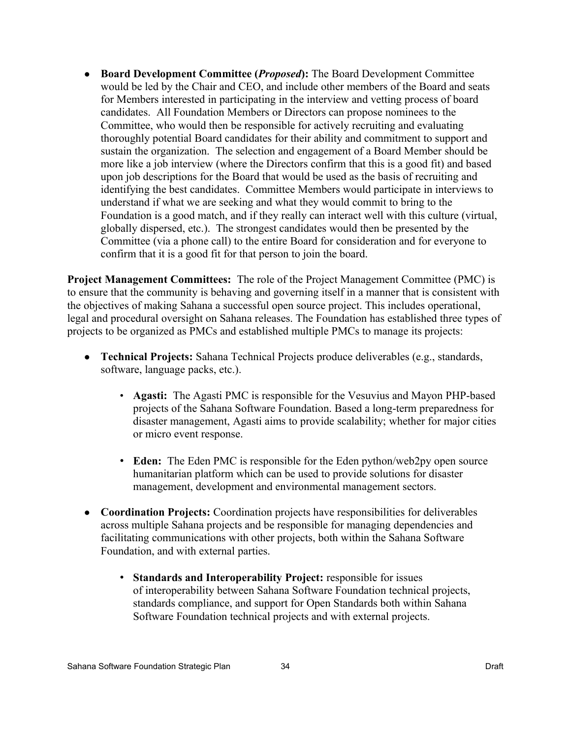● **Board Development Committee (***Proposed***):** The Board Development Committee would be led by the Chair and CEO, and include other members of the Board and seats for Members interested in participating in the interview and vetting process of board candidates. All Foundation Members or Directors can propose nominees to the Committee, who would then be responsible for actively recruiting and evaluating thoroughly potential Board candidates for their ability and commitment to support and sustain the organization. The selection and engagement of a Board Member should be more like a job interview (where the Directors confirm that this is a good fit) and based upon job descriptions for the Board that would be used as the basis of recruiting and identifying the best candidates. Committee Members would participate in interviews to understand if what we are seeking and what they would commit to bring to the Foundation is a good match, and if they really can interact well with this culture (virtual, globally dispersed, etc.). The strongest candidates would then be presented by the Committee (via a phone call) to the entire Board for consideration and for everyone to confirm that it is a good fit for that person to join the board.

**Project Management Committees:** The role of the Project Management Committee (PMC) is to ensure that the community is behaving and governing itself in a manner that is consistent with the objectives of making Sahana a successful open source project. This includes operational, legal and procedural oversight on Sahana releases. The Foundation has established three types of projects to be organized as PMCs and established multiple PMCs to manage its projects:

- **Technical Projects:** Sahana Technical Projects produce deliverables (e.g., standards, software, language packs, etc.).
	- **Agasti:** The Agasti PMC is responsible for the Vesuvius and Mayon PHP-based projects of the Sahana Software Foundation. Based a long-term preparedness for disaster management, Agasti aims to provide scalability; whether for major cities or micro event response.
	- **Eden:** The Eden PMC is responsible for the Eden python/web2py open source humanitarian platform which can be used to provide solutions for disaster management, development and environmental management sectors.
- **Coordination Projects:** Coordination projects have responsibilities for deliverables across multiple Sahana projects and be responsible for managing dependencies and facilitating communications with other projects, both within the Sahana Software Foundation, and with external parties.
	- **Standards and Interoperability Project:** responsible for issues of interoperability between Sahana Software Foundation technical projects, standards compliance, and support for Open Standards both within Sahana Software Foundation technical projects and with external projects.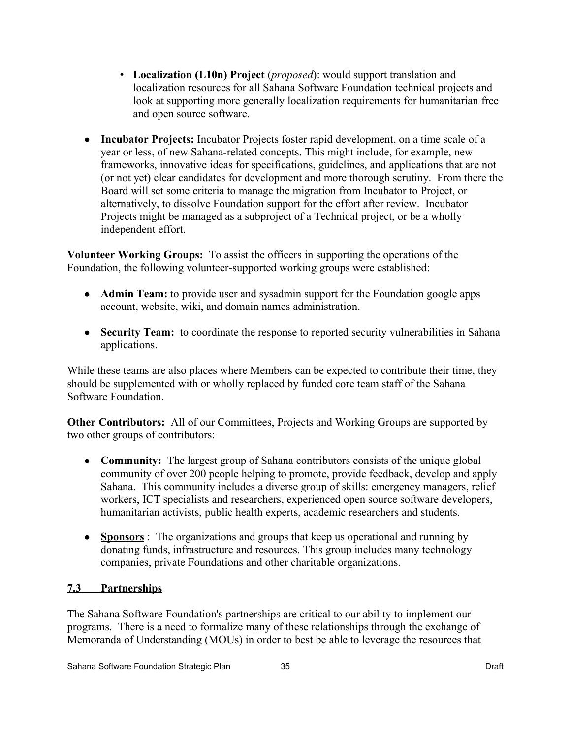- **Localization (L10n) Project** (*proposed*): would support translation and localization resources for all Sahana Software Foundation technical projects and look at supporting more generally localization requirements for humanitarian free and open source software.
- **Incubator Projects:** Incubator Projects foster rapid development, on a time scale of a year or less, of new Sahana-related concepts. This might include, for example, new frameworks, innovative ideas for specifications, guidelines, and applications that are not (or not yet) clear candidates for development and more thorough scrutiny. From there the Board will set some criteria to manage the migration from Incubator to Project, or alternatively, to dissolve Foundation support for the effort after review. Incubator Projects might be managed as a subproject of a Technical project, or be a wholly independent effort.

**Volunteer Working Groups:** To assist the officers in supporting the operations of the Foundation, the following volunteer-supported working groups were established:

- **Admin Team:** to provide user and sysadmin support for the Foundation google apps account, website, wiki, and domain names administration.
- **Security Team:** to coordinate the response to reported security vulnerabilities in Sahana applications.

While these teams are also places where Members can be expected to contribute their time, they should be supplemented with or wholly replaced by funded core team staff of the Sahana Software Foundation.

**Other Contributors:** All of our Committees, Projects and Working Groups are supported by two other groups of contributors:

- **Community:** The largest group of Sahana contributors consists of the unique global community of over 200 people helping to promote, provide feedback, develop and apply Sahana. This community includes a diverse group of skills: emergency managers, relief workers, ICT specialists and researchers, experienced open source software developers, humanitarian activists, public health experts, academic researchers and students.
- ● **Sponsors** : The organizations and groups that keep us operational and running by donating funds, infrastructure and resources. This group includes many technology companies, private Foundations and other charitable organizations.

## **7.3 Partnerships**

The Sahana Software Foundation's partnerships are critical to our ability to implement our programs. There is a need to formalize many of these relationships through the exchange of Memoranda of Understanding (MOUs) in order to best be able to leverage the resources that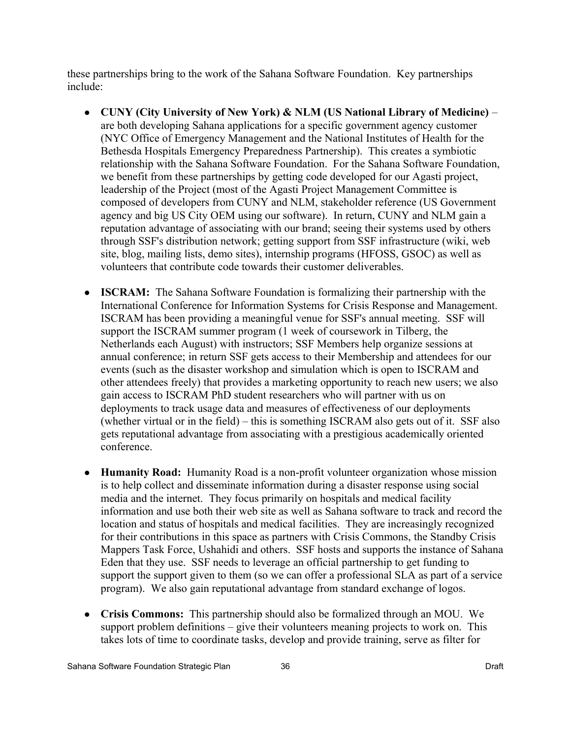these partnerships bring to the work of the Sahana Software Foundation. Key partnerships include:

- **CUNY (City University of New York) & NLM (US National Library of Medicine)** are both developing Sahana applications for a specific government agency customer (NYC Office of Emergency Management and the National Institutes of Health for the Bethesda Hospitals Emergency Preparedness Partnership). This creates a symbiotic relationship with the Sahana Software Foundation. For the Sahana Software Foundation, we benefit from these partnerships by getting code developed for our Agasti project, leadership of the Project (most of the Agasti Project Management Committee is composed of developers from CUNY and NLM, stakeholder reference (US Government agency and big US City OEM using our software). In return, CUNY and NLM gain a reputation advantage of associating with our brand; seeing their systems used by others through SSF's distribution network; getting support from SSF infrastructure (wiki, web site, blog, mailing lists, demo sites), internship programs (HFOSS, GSOC) as well as volunteers that contribute code towards their customer deliverables.
- **ISCRAM:** The Sahana Software Foundation is formalizing their partnership with the International Conference for Information Systems for Crisis Response and Management. ISCRAM has been providing a meaningful venue for SSF's annual meeting. SSF will support the ISCRAM summer program (1 week of coursework in Tilberg, the Netherlands each August) with instructors; SSF Members help organize sessions at annual conference; in return SSF gets access to their Membership and attendees for our events (such as the disaster workshop and simulation which is open to ISCRAM and other attendees freely) that provides a marketing opportunity to reach new users; we also gain access to ISCRAM PhD student researchers who will partner with us on deployments to track usage data and measures of effectiveness of our deployments (whether virtual or in the field) – this is something ISCRAM also gets out of it. SSF also gets reputational advantage from associating with a prestigious academically oriented conference.
- **Humanity Road:** Humanity Road is a non-profit volunteer organization whose mission is to help collect and disseminate information during a disaster response using social media and the internet. They focus primarily on hospitals and medical facility information and use both their web site as well as Sahana software to track and record the location and status of hospitals and medical facilities. They are increasingly recognized for their contributions in this space as partners with Crisis Commons, the Standby Crisis Mappers Task Force, Ushahidi and others. SSF hosts and supports the instance of Sahana Eden that they use. SSF needs to leverage an official partnership to get funding to support the support given to them (so we can offer a professional SLA as part of a service program). We also gain reputational advantage from standard exchange of logos.
- **Crisis Commons:** This partnership should also be formalized through an MOU. We support problem definitions – give their volunteers meaning projects to work on. This takes lots of time to coordinate tasks, develop and provide training, serve as filter for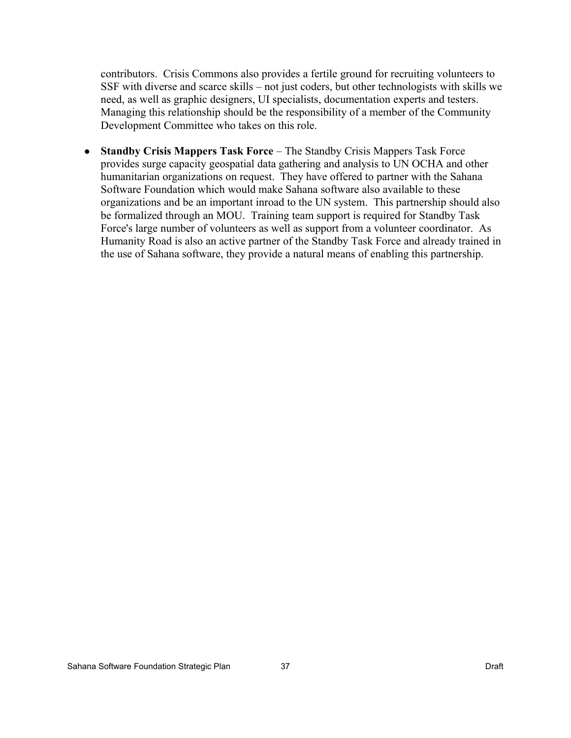contributors. Crisis Commons also provides a fertile ground for recruiting volunteers to SSF with diverse and scarce skills – not just coders, but other technologists with skills we need, as well as graphic designers, UI specialists, documentation experts and testers. Managing this relationship should be the responsibility of a member of the Community Development Committee who takes on this role.

● **Standby Crisis Mappers Task Force** – The Standby Crisis Mappers Task Force provides surge capacity geospatial data gathering and analysis to UN OCHA and other humanitarian organizations on request. They have offered to partner with the Sahana Software Foundation which would make Sahana software also available to these organizations and be an important inroad to the UN system. This partnership should also be formalized through an MOU. Training team support is required for Standby Task Force's large number of volunteers as well as support from a volunteer coordinator. As Humanity Road is also an active partner of the Standby Task Force and already trained in the use of Sahana software, they provide a natural means of enabling this partnership.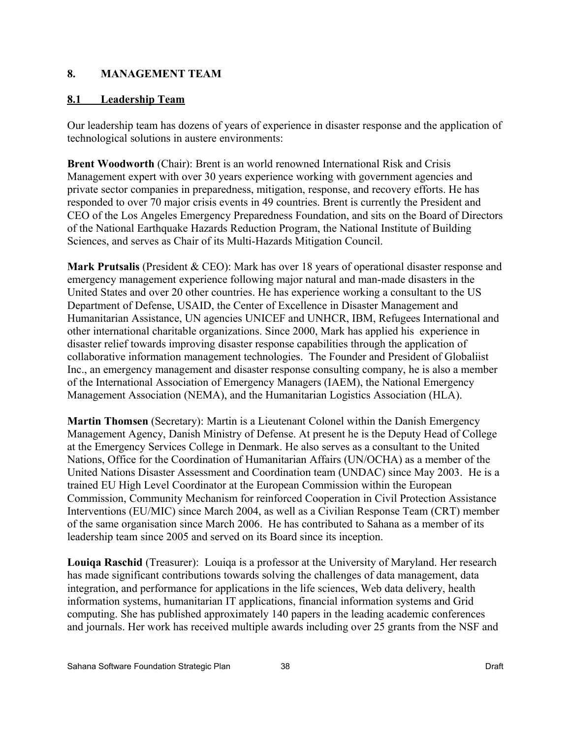## **8. MANAGEMENT TEAM**

## **8.1 Leadership Team**

Our leadership team has dozens of years of experience in disaster response and the application of technological solutions in austere environments:

**Brent Woodworth** (Chair): Brent is an world renowned International Risk and Crisis Management expert with over 30 years experience working with government agencies and private sector companies in preparedness, mitigation, response, and recovery efforts. He has responded to over 70 major crisis events in 49 countries. Brent is currently the President and CEO of the Los Angeles Emergency Preparedness Foundation, and sits on the Board of Directors of the National Earthquake Hazards Reduction Program, the National Institute of Building Sciences, and serves as Chair of its Multi-Hazards Mitigation Council.

**Mark Prutsalis** (President & CEO): Mark has over 18 years of operational disaster response and emergency management experience following major natural and man-made disasters in the United States and over 20 other countries. He has experience working a consultant to the US Department of Defense, USAID, the Center of Excellence in Disaster Management and Humanitarian Assistance, UN agencies UNICEF and UNHCR, IBM, Refugees International and other international charitable organizations. Since 2000, Mark has applied his experience in disaster relief towards improving disaster response capabilities through the application of collaborative information management technologies. The Founder and President of Globaliist Inc., an emergency management and disaster response consulting company, he is also a member of the International Association of Emergency Managers (IAEM), the National Emergency Management Association (NEMA), and the Humanitarian Logistics Association (HLA).

**Martin Thomsen** (Secretary): Martin is a Lieutenant Colonel within the Danish Emergency Management Agency, Danish Ministry of Defense. At present he is the Deputy Head of College at the Emergency Services College in Denmark. He also serves as a consultant to the United Nations, Office for the Coordination of Humanitarian Affairs (UN/OCHA) as a member of the United Nations Disaster Assessment and Coordination team (UNDAC) since May 2003. He is a trained EU High Level Coordinator at the European Commission within the European Commission, Community Mechanism for reinforced Cooperation in Civil Protection Assistance Interventions (EU/MIC) since March 2004, as well as a Civilian Response Team (CRT) member of the same organisation since March 2006. He has contributed to Sahana as a member of its leadership team since 2005 and served on its Board since its inception.

**Louiqa Raschid** (Treasurer): Louiqa is a professor at the University of Maryland. Her research has made significant contributions towards solving the challenges of data management, data integration, and performance for applications in the life sciences, Web data delivery, health information systems, humanitarian IT applications, financial information systems and Grid computing. She has published approximately 140 papers in the leading academic conferences and journals. Her work has received multiple awards including over 25 grants from the NSF and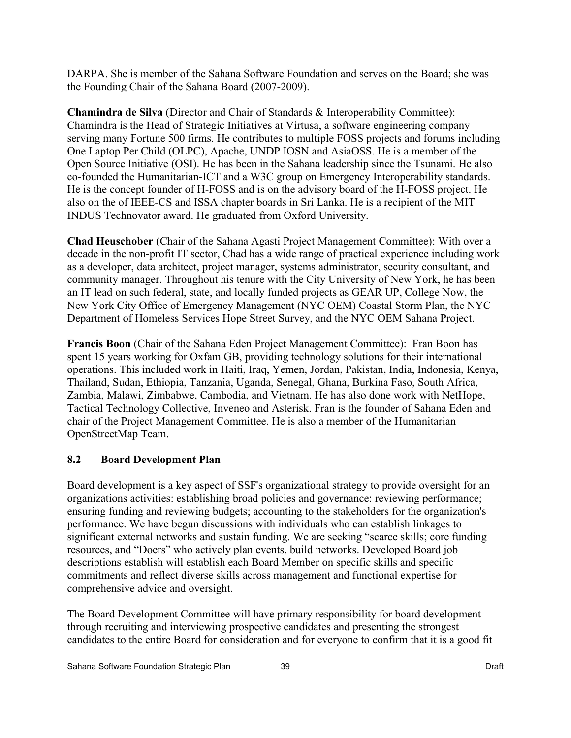DARPA. She is member of the Sahana Software Foundation and serves on the Board; she was the Founding Chair of the Sahana Board (2007-2009).

**Chamindra de Silva** (Director and Chair of Standards & Interoperability Committee): Chamindra is the Head of Strategic Initiatives at Virtusa, a software engineering company serving many Fortune 500 firms. He contributes to multiple FOSS projects and forums including One Laptop Per Child (OLPC), Apache, UNDP IOSN and AsiaOSS. He is a member of the Open Source Initiative (OSI). He has been in the Sahana leadership since the Tsunami. He also co-founded the Humanitarian-ICT and a W3C group on Emergency Interoperability standards. He is the concept founder of H-FOSS and is on the advisory board of the H-FOSS project. He also on the of IEEE-CS and ISSA chapter boards in Sri Lanka. He is a recipient of the MIT INDUS Technovator award. He graduated from Oxford University.

**Chad Heuschober** (Chair of the Sahana Agasti Project Management Committee): With over a decade in the non-profit IT sector, Chad has a wide range of practical experience including work as a developer, data architect, project manager, systems administrator, security consultant, and community manager. Throughout his tenure with the City University of New York, he has been an IT lead on such federal, state, and locally funded projects as GEAR UP, College Now, the New York City Office of Emergency Management (NYC OEM) Coastal Storm Plan, the NYC Department of Homeless Services Hope Street Survey, and the NYC OEM Sahana Project.

**Francis Boon** (Chair of the Sahana Eden Project Management Committee): Fran Boon has spent 15 years working for Oxfam GB, providing technology solutions for their international operations. This included work in Haiti, Iraq, Yemen, Jordan, Pakistan, India, Indonesia, Kenya, Thailand, Sudan, Ethiopia, Tanzania, Uganda, Senegal, Ghana, Burkina Faso, South Africa, Zambia, Malawi, Zimbabwe, Cambodia, and Vietnam. He has also done work with NetHope, Tactical Technology Collective, Inveneo and Asterisk. Fran is the founder of Sahana Eden and chair of the Project Management Committee. He is also a member of the Humanitarian OpenStreetMap Team.

## **8.2 Board Development Plan**

Board development is a key aspect of SSF's organizational strategy to provide oversight for an organizations activities: establishing broad policies and governance: reviewing performance; ensuring funding and reviewing budgets; accounting to the stakeholders for the organization's performance. We have begun discussions with individuals who can establish linkages to significant external networks and sustain funding. We are seeking "scarce skills; core funding resources, and "Doers" who actively plan events, build networks. Developed Board job descriptions establish will establish each Board Member on specific skills and specific commitments and reflect diverse skills across management and functional expertise for comprehensive advice and oversight.

The Board Development Committee will have primary responsibility for board development through recruiting and interviewing prospective candidates and presenting the strongest candidates to the entire Board for consideration and for everyone to confirm that it is a good fit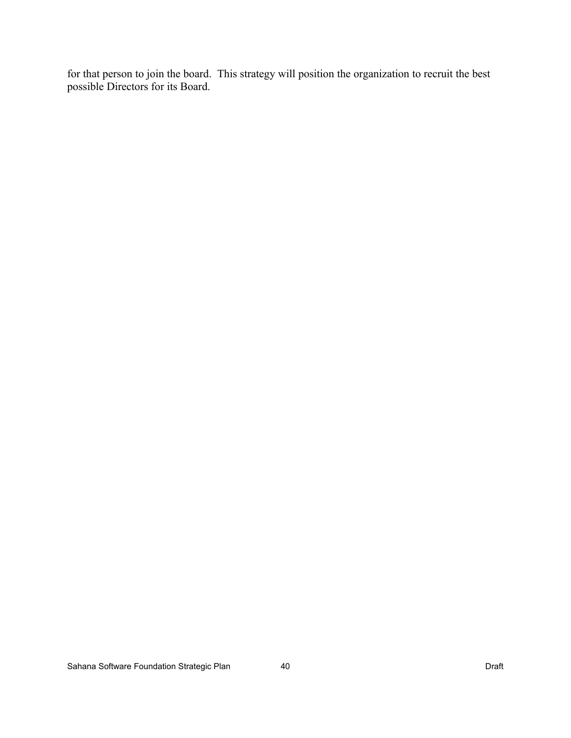for that person to join the board. This strategy will position the organization to recruit the best possible Directors for its Board.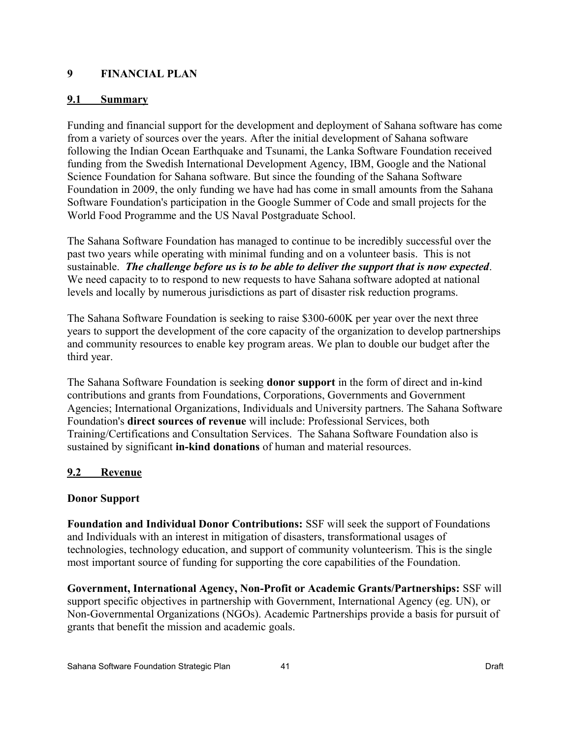## **9 FINANCIAL PLAN**

#### **9.1 Summary**

Funding and financial support for the development and deployment of Sahana software has come from a variety of sources over the years. After the initial development of Sahana software following the Indian Ocean Earthquake and Tsunami, the Lanka Software Foundation received funding from the Swedish International Development Agency, IBM, Google and the National Science Foundation for Sahana software. But since the founding of the Sahana Software Foundation in 2009, the only funding we have had has come in small amounts from the Sahana Software Foundation's participation in the Google Summer of Code and small projects for the World Food Programme and the US Naval Postgraduate School.

The Sahana Software Foundation has managed to continue to be incredibly successful over the past two years while operating with minimal funding and on a volunteer basis. This is not sustainable. *The challenge before us is to be able to deliver the support that is now expected*. We need capacity to to respond to new requests to have Sahana software adopted at national levels and locally by numerous jurisdictions as part of disaster risk reduction programs.

The Sahana Software Foundation is seeking to raise \$300-600K per year over the next three years to support the development of the core capacity of the organization to develop partnerships and community resources to enable key program areas. We plan to double our budget after the third year.

The Sahana Software Foundation is seeking **donor support** in the form of direct and in-kind contributions and grants from Foundations, Corporations, Governments and Government Agencies; International Organizations, Individuals and University partners. The Sahana Software Foundation's **direct sources of revenue** will include: Professional Services, both Training/Certifications and Consultation Services. The Sahana Software Foundation also is sustained by significant **in-kind donations** of human and material resources.

## **9.2 Revenue**

## **Donor Support**

**Foundation and Individual Donor Contributions:** SSF will seek the support of Foundations and Individuals with an interest in mitigation of disasters, transformational usages of technologies, technology education, and support of community volunteerism. This is the single most important source of funding for supporting the core capabilities of the Foundation.

**Government, International Agency, Non-Profit or Academic Grants/Partnerships:** SSF will support specific objectives in partnership with Government, International Agency (eg. UN), or Non-Governmental Organizations (NGOs). Academic Partnerships provide a basis for pursuit of grants that benefit the mission and academic goals.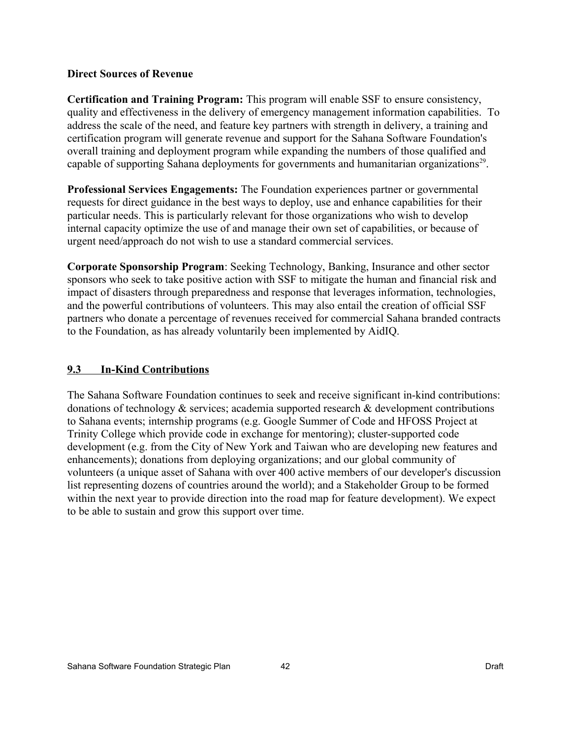#### **Direct Sources of Revenue**

**Certification and Training Program:** This program will enable SSF to ensure consistency, quality and effectiveness in the delivery of emergency management information capabilities. To address the scale of the need, and feature key partners with strength in delivery, a training and certification program will generate revenue and support for the Sahana Software Foundation's overall training and deployment program while expanding the numbers of those qualified and capable of supporting Sahana deployments for governments and humanitarian organizations<sup>[29](#page-52-28)</sup>.

**Professional Services Engagements:** The Foundation experiences partner or governmental requests for direct guidance in the best ways to deploy, use and enhance capabilities for their particular needs. This is particularly relevant for those organizations who wish to develop internal capacity optimize the use of and manage their own set of capabilities, or because of urgent need/approach do not wish to use a standard commercial services.

**Corporate Sponsorship Program**: Seeking Technology, Banking, Insurance and other sector sponsors who seek to take positive action with SSF to mitigate the human and financial risk and impact of disasters through preparedness and response that leverages information, technologies, and the powerful contributions of volunteers. This may also entail the creation of official SSF partners who donate a percentage of revenues received for commercial Sahana branded contracts to the Foundation, as has already voluntarily been implemented by AidIQ.

## **9.3 In-Kind Contributions**

The Sahana Software Foundation continues to seek and receive significant in-kind contributions: donations of technology & services; academia supported research & development contributions to Sahana events; internship programs (e.g. Google Summer of Code and HFOSS Project at Trinity College which provide code in exchange for mentoring); cluster-supported code development (e.g. from the City of New York and Taiwan who are developing new features and enhancements); donations from deploying organizations; and our global community of volunteers (a unique asset of Sahana with over 400 active members of our developer's discussion list representing dozens of countries around the world); and a Stakeholder Group to be formed within the next year to provide direction into the road map for feature development). We expect to be able to sustain and grow this support over time.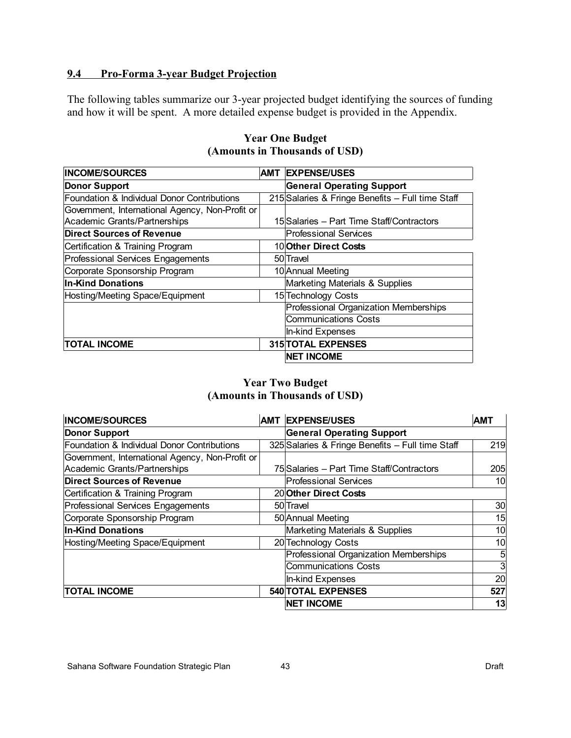## **9.4 Pro-Forma 3-year Budget Projection**

The following tables summarize our 3-year projected budget identifying the sources of funding and how it will be spent. A more detailed expense budget is provided in the Appendix.

| <b>INCOME/SOURCES</b><br><b>AMT</b>             |  | <b>EXPENSE/USES</b>                              |  |
|-------------------------------------------------|--|--------------------------------------------------|--|
| Donor Support                                   |  | <b>General Operating Support</b>                 |  |
| Foundation & Individual Donor Contributions     |  | 215 Salaries & Fringe Benefits - Full time Staff |  |
| Government, International Agency, Non-Profit or |  |                                                  |  |
| Academic Grants/Partnerships                    |  | 15 Salaries – Part Time Staff/Contractors        |  |
| <b>Direct Sources of Revenue</b>                |  | <b>Professional Services</b>                     |  |
| Certification & Training Program                |  | 10 Other Direct Costs                            |  |
| Professional Services Engagements               |  | 50 Travel                                        |  |
| Corporate Sponsorship Program                   |  | 10 Annual Meeting                                |  |
| <b>In-Kind Donations</b>                        |  | Marketing Materials & Supplies                   |  |
| Hosting/Meeting Space/Equipment                 |  | 15 Technology Costs                              |  |
|                                                 |  | Professional Organization Memberships            |  |
|                                                 |  | <b>Communications Costs</b>                      |  |
|                                                 |  | In-kind Expenses                                 |  |
| <b>TOTAL INCOME</b>                             |  | <b>315 TOTAL EXPENSES</b>                        |  |
|                                                 |  | <b>NET INCOME</b>                                |  |

#### **Year One Budget (Amounts in Thousands of USD)**

## **Year Two Budget (Amounts in Thousands of USD)**

| <b>INCOME/SOURCES</b>                           | AMT | <b>EXPENSE/USES</b>                              | <b>AMT</b>      |  |
|-------------------------------------------------|-----|--------------------------------------------------|-----------------|--|
| <b>Donor Support</b>                            |     | <b>General Operating Support</b>                 |                 |  |
| Foundation & Individual Donor Contributions     |     | 325 Salaries & Fringe Benefits - Full time Staff | 219             |  |
| Government, International Agency, Non-Profit or |     |                                                  |                 |  |
| Academic Grants/Partnerships                    |     | 75 Salaries - Part Time Staff/Contractors        | 205             |  |
| <b>Direct Sources of Revenue</b>                |     | <b>Professional Services</b>                     | 10              |  |
| Certification & Training Program                |     | 20 Other Direct Costs                            |                 |  |
| Professional Services Engagements               |     | 50 Travel                                        | 30 <sup>2</sup> |  |
| Corporate Sponsorship Program                   |     | 50 Annual Meeting                                | 15              |  |
| <b>In-Kind Donations</b>                        |     | Marketing Materials & Supplies                   | 10              |  |
| Hosting/Meeting Space/Equipment                 |     | 20 Technology Costs                              | 10              |  |
|                                                 |     | Professional Organization Memberships            | 5               |  |
|                                                 |     | <b>Communications Costs</b>                      | $\mathbf{3}$    |  |
|                                                 |     | In-kind Expenses                                 | 20              |  |
| <b>TOTAL INCOME</b>                             |     | <b>540 TOTAL EXPENSES</b>                        | 527             |  |
|                                                 |     | <b>NET INCOME</b>                                | 13              |  |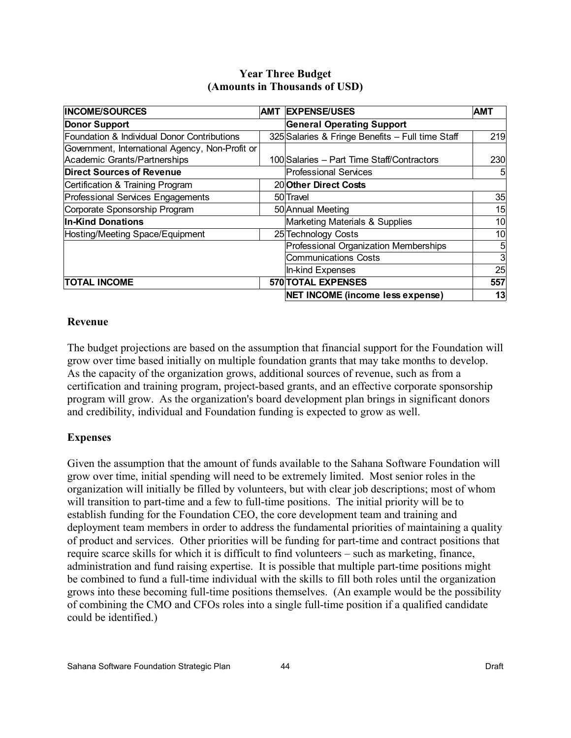| <b>INCOME/SOURCES</b>                           | AMT | <b>EXPENSE/USES</b>                              | <b>AMT</b> |  |
|-------------------------------------------------|-----|--------------------------------------------------|------------|--|
| <b>Donor Support</b>                            |     | <b>General Operating Support</b>                 |            |  |
| Foundation & Individual Donor Contributions     |     | 325 Salaries & Fringe Benefits - Full time Staff | 219        |  |
| Government, International Agency, Non-Profit or |     |                                                  |            |  |
| Academic Grants/Partnerships                    |     | 100 Salaries - Part Time Staff/Contractors       | 230        |  |
| <b>Direct Sources of Revenue</b>                |     | <b>Professional Services</b>                     |            |  |
| Certification & Training Program                |     | 20 Other Direct Costs                            |            |  |
| Professional Services Engagements               |     | 50 Travel                                        | 35         |  |
| Corporate Sponsorship Program                   |     | 50 Annual Meeting                                | 15         |  |
| <b>In-Kind Donations</b>                        |     | Marketing Materials & Supplies                   | 10         |  |
| Hosting/Meeting Space/Equipment                 |     | 25 Technology Costs                              | 10         |  |
|                                                 |     | Professional Organization Memberships            | 5          |  |
|                                                 |     | <b>Communications Costs</b>                      | 3          |  |
|                                                 |     | In-kind Expenses                                 | 25         |  |
| <b>TOTAL INCOME</b>                             |     | <b>570 TOTAL EXPENSES</b>                        | 557        |  |
|                                                 |     | NET INCOME (income less expense)                 | 13         |  |

#### **Year Three Budget (Amounts in Thousands of USD)**

#### **Revenue**

The budget projections are based on the assumption that financial support for the Foundation will grow over time based initially on multiple foundation grants that may take months to develop. As the capacity of the organization grows, additional sources of revenue, such as from a certification and training program, project-based grants, and an effective corporate sponsorship program will grow. As the organization's board development plan brings in significant donors and credibility, individual and Foundation funding is expected to grow as well.

## **Expenses**

Given the assumption that the amount of funds available to the Sahana Software Foundation will grow over time, initial spending will need to be extremely limited. Most senior roles in the organization will initially be filled by volunteers, but with clear job descriptions; most of whom will transition to part-time and a few to full-time positions. The initial priority will be to establish funding for the Foundation CEO, the core development team and training and deployment team members in order to address the fundamental priorities of maintaining a quality of product and services. Other priorities will be funding for part-time and contract positions that require scarce skills for which it is difficult to find volunteers – such as marketing, finance, administration and fund raising expertise. It is possible that multiple part-time positions might be combined to fund a full-time individual with the skills to fill both roles until the organization grows into these becoming full-time positions themselves. (An example would be the possibility of combining the CMO and CFOs roles into a single full-time position if a qualified candidate could be identified.)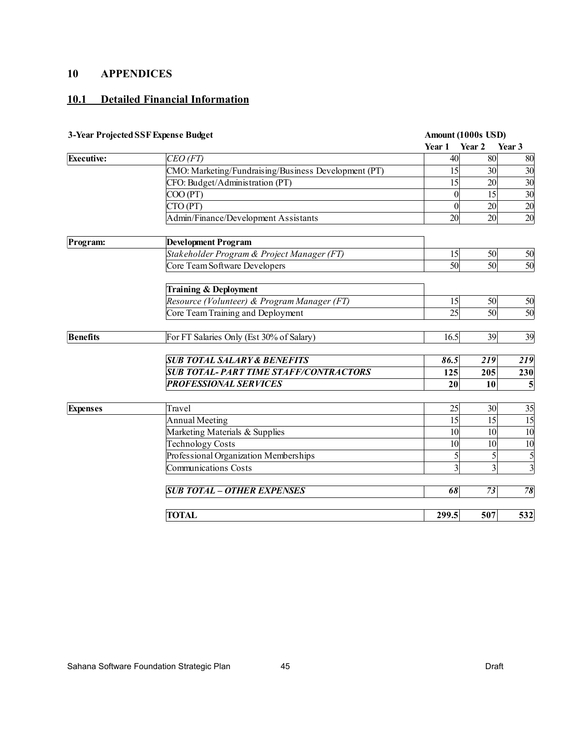## **10 APPENDICES**

## **10.1 Detailed Financial Information**

| 3-Year Projected SSF Expense Budget |                                                      | Amount (1000s USD) |                 |                         |  |
|-------------------------------------|------------------------------------------------------|--------------------|-----------------|-------------------------|--|
|                                     |                                                      | Year 1             | Year 2          | Year 3                  |  |
| Executive:                          | $CEO$ (FT)                                           | 40                 | 80              | 80                      |  |
|                                     | CMO: Marketing/Fundraising/Business Development (PT) | 15                 | 30 <sup>1</sup> | 30                      |  |
|                                     | CFO: Budget/Administration (PT)                      | 15                 | 20 <sup>1</sup> | 30                      |  |
|                                     | COO (PT)                                             | $\overline{0}$     | 15              | 30                      |  |
|                                     | CTO (PT)                                             | $\overline{0}$     | 20 <sup>1</sup> | 20                      |  |
|                                     | Admin/Finance/Development Assistants                 | 20 <sup>1</sup>    | 20              | 20                      |  |
| Program:                            | <b>Development Program</b>                           |                    |                 |                         |  |
|                                     | Stakeholder Program & Project Manager (FT)           | 15                 | 50              | 50                      |  |
|                                     | Core Team Software Developers                        | 50                 | 50              | 50                      |  |
|                                     | <b>Training &amp; Deployment</b>                     |                    |                 |                         |  |
|                                     | Resource (Volunteer) & Program Manager (FT)          | 15                 | 50              | 50                      |  |
|                                     | Core Team Training and Deployment                    | 25                 | 50              | 50                      |  |
| <b>Benefits</b>                     | For FT Salaries Only (Est 30% of Salary)             | 16.5               | 39              | 39                      |  |
|                                     | <b>SUB TOTAL SALARY &amp; BENEFITS</b>               | 86.5               | 219             | 219                     |  |
|                                     | <b>SUB TOTAL-PART TIME STAFF/CONTRACTORS</b>         | 125                | 205             | 230                     |  |
|                                     | <b>PROFESSIONAL SERVICES</b>                         | 20                 | 10              | 5                       |  |
| <b>Expenses</b>                     | Travel                                               | 25                 | 30 <sup>1</sup> | 35                      |  |
|                                     | <b>Annual Meeting</b>                                | 15                 | 15              | 15                      |  |
|                                     | Marketing Materials & Supplies                       | 10 <sup>1</sup>    | 10 <sup>1</sup> | 10                      |  |
|                                     | <b>Technology Costs</b>                              | 10                 | 10 <sup>1</sup> | 10                      |  |
|                                     | Professional Organization Memberships                | 5                  | 5               | 5                       |  |
|                                     | <b>Communications Costs</b>                          | $\overline{3}$     | $\overline{3}$  | $\overline{\mathbf{3}}$ |  |
|                                     | <b>SUB TOTAL - OTHER EXPENSES</b>                    | 68                 | 73              | 78                      |  |
|                                     | <b>TOTAL</b>                                         | 299.5              | 507             | 532                     |  |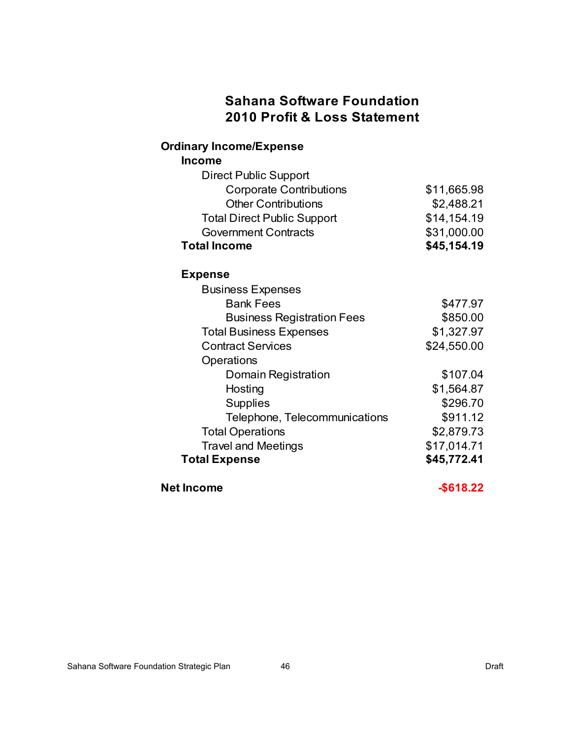## **Sahana Software Foundation 2010 Profit & Loss Statement**

## **Ordinary Income/Expense**

**Income**

| <b>Direct Public Support</b>       |             |
|------------------------------------|-------------|
| <b>Corporate Contributions</b>     | \$11,665.98 |
| <b>Other Contributions</b>         | \$2,488.21  |
| <b>Total Direct Public Support</b> | \$14,154.19 |
| <b>Government Contracts</b>        | \$31,000.00 |
| <b>Total Income</b>                | \$45,154.19 |
| <b>Expense</b>                     |             |
| <b>Business Expenses</b>           |             |
| <b>Bank Fees</b>                   | \$477.97    |
| <b>Business Registration Fees</b>  | \$850.00    |
| <b>Total Business Expenses</b>     | \$1,327.97  |
| <b>Contract Services</b>           | \$24,550.00 |
| Operations                         |             |
| Domain Registration                | \$107.04    |
| Hosting                            | \$1,564.87  |
| <b>Supplies</b>                    | \$296.70    |
| Telephone, Telecommunications      | \$911.12    |
| <b>Total Operations</b>            | \$2,879.73  |
| <b>Travel and Meetings</b>         | \$17,014.71 |
| <b>Total Expense</b>               | \$45,772.41 |
|                                    |             |

**Net Income 3618.22**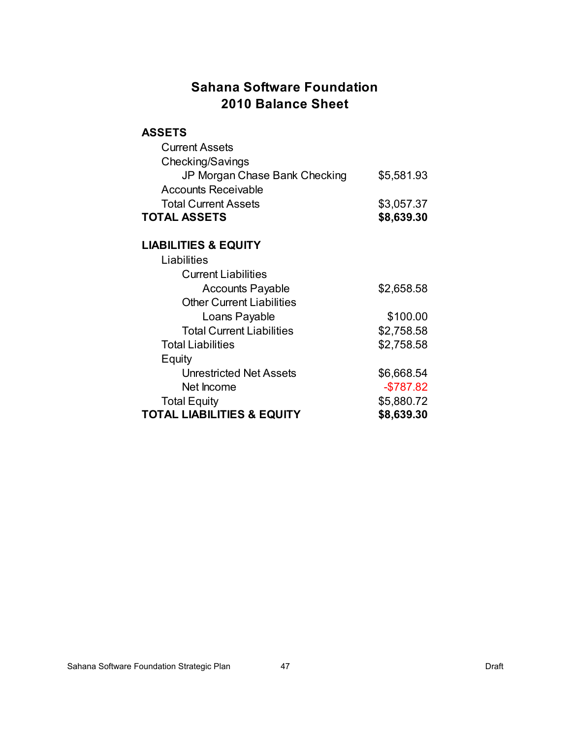## **Sahana Software Foundation 2010 Balance Sheet**

#### **ASSETS**

| <b>Current Assets</b>                 |            |
|---------------------------------------|------------|
| Checking/Savings                      |            |
| JP Morgan Chase Bank Checking         | \$5,581.93 |
| <b>Accounts Receivable</b>            |            |
| <b>Total Current Assets</b>           | \$3,057.37 |
| <b>TOTAL ASSETS</b>                   | \$8,639.30 |
|                                       |            |
| <b>LIABILITIES &amp; EQUITY</b>       |            |
| Liabilities                           |            |
| <b>Current Liabilities</b>            |            |
| <b>Accounts Payable</b>               | \$2,658.58 |
| <b>Other Current Liabilities</b>      |            |
| Loans Payable                         | \$100.00   |
| <b>Total Current Liabilities</b>      | \$2,758.58 |
| <b>Total Liabilities</b>              | \$2,758.58 |
| Equity                                |            |
| <b>Unrestricted Net Assets</b>        | \$6,668.54 |
| Net Income                            | $-$787.82$ |
| <b>Total Equity</b>                   | \$5,880.72 |
| <b>TOTAL LIABILITIES &amp; EQUITY</b> | \$8,639.30 |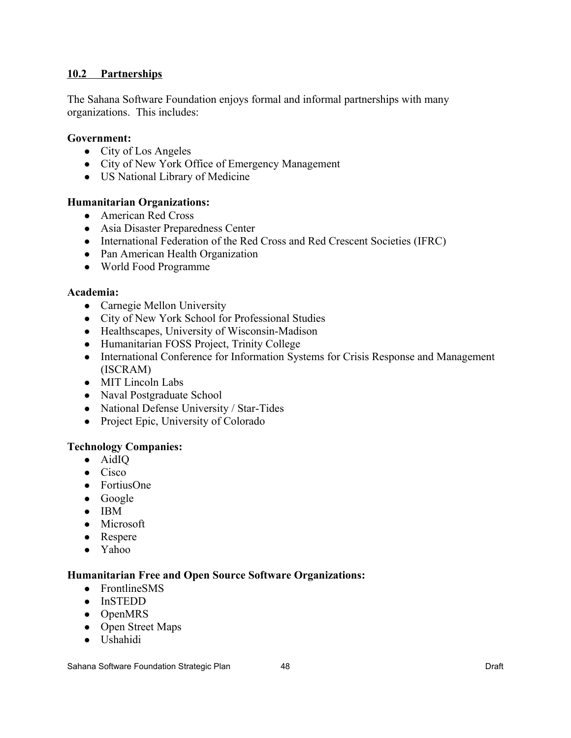#### **10.2 Partnerships**

The Sahana Software Foundation enjoys formal and informal partnerships with many organizations. This includes:

#### **Government:**

- City of Los Angeles
- City of New York Office of Emergency Management
- US National Library of Medicine

#### **Humanitarian Organizations:**

- American Red Cross
- Asia Disaster Preparedness Center
- International Federation of the Red Cross and Red Crescent Societies (IFRC)
- Pan American Health Organization
- World Food Programme

#### **Academia:**

- Carnegie Mellon University
- City of New York School for Professional Studies
- Healthscapes, University of Wisconsin-Madison
- Humanitarian FOSS Project, Trinity College
- International Conference for Information Systems for Crisis Response and Management (ISCRAM)
- MIT Lincoln Labs
- Naval Postgraduate School
- National Defense University / Star-Tides
- Project Epic, University of Colorado

#### **Technology Companies:**

- AidIQ
- Cisco
- FortiusOne
- Google
- IBM
- Microsoft
- Respere
- Yahoo

#### **Humanitarian Free and Open Source Software Organizations:**

- FrontlineSMS
- InSTEDD
- OpenMRS
- Open Street Maps
- Ushahidi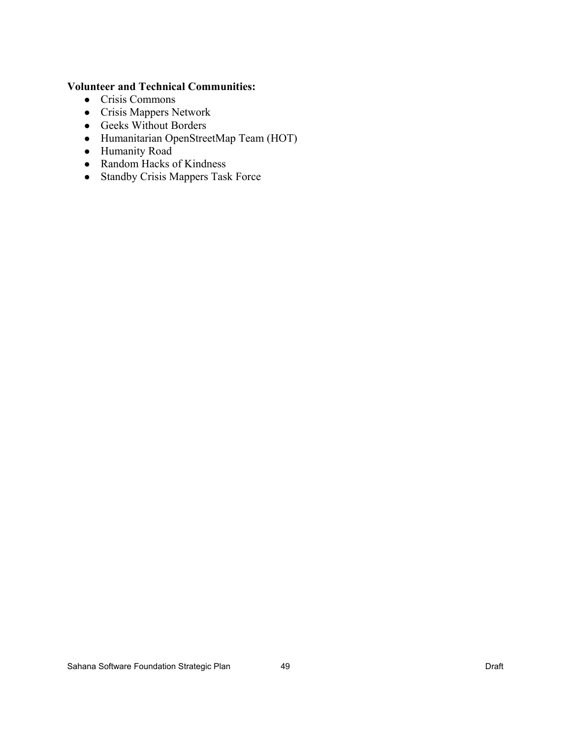## **Volunteer and Technical Communities:**

- Crisis Commons
- Crisis Mappers Network
- Geeks Without Borders
- Humanitarian OpenStreetMap Team (HOT)
- Humanity Road
- Random Hacks of Kindness
- Standby Crisis Mappers Task Force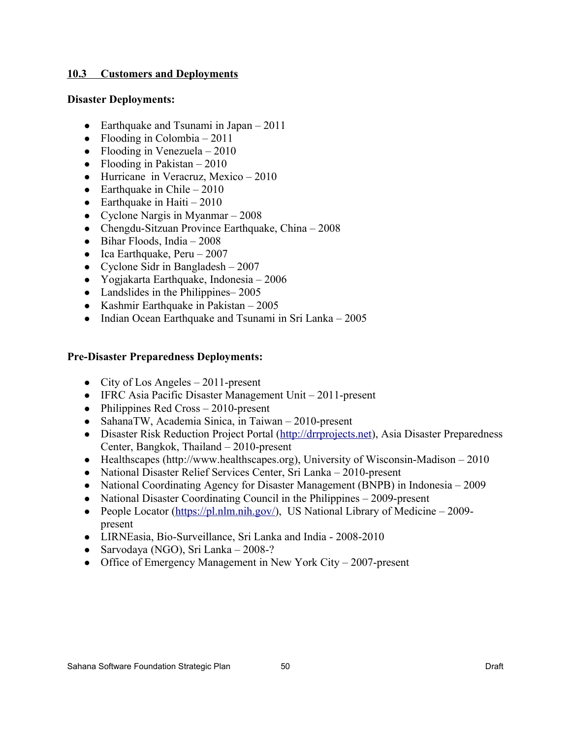#### **10.3 Customers and Deployments**

#### **Disaster Deployments:**

- Earthquake and Tsunami in Japan  $2011$
- Flooding in Colombia  $2011$
- Flooding in Venezuela  $2010$
- Flooding in Pakistan  $-2010$
- Hurricane in Veracruz, Mexico 2010
- Earthquake in Chile  $2010$
- Earthquake in Haiti  $2010$
- Cyclone Nargis in Myanmar  $-2008$
- Chengdu-Sitzuan Province Earthquake, China 2008
- $\bullet$  Bihar Floods, India 2008
- Ica Earthquake, Peru  $2007$
- Cyclone Sidr in Bangladesh  $-2007$
- Yogjakarta Earthquake, Indonesia 2006
- Landslides in the Philippines– 2005
- Kashmir Earthquake in Pakistan  $-2005$
- Indian Ocean Earthquake and Tsunami in Sri Lanka 2005

#### **Pre-Disaster Preparedness Deployments:**

- City of Los Angeles  $-2011$ -present
- IFRC Asia Pacific Disaster Management Unit 2011-present
- Philippines Red Cross 2010-present
- SahanaTW, Academia Sinica, in Taiwan 2010-present
- Disaster Risk Reduction Project Portal [\(http://drrprojects.net\)](http://drrprojects.net/), Asia Disaster Preparedness Center, Bangkok, Thailand – 2010-present
- Healthscapes (http://www.healthscapes.org), University of Wisconsin-Madison 2010
- National Disaster Relief Services Center, Sri Lanka 2010-present
- National Coordinating Agency for Disaster Management (BNPB) in Indonesia 2009
- National Disaster Coordinating Council in the Philippines 2009-present
- People Locator [\(https://pl.nlm.nih.gov/\)](https://pl.nlm.nih.gov/), US National Library of Medicine 2009present
- LIRNEasia, Bio-Surveillance, Sri Lanka and India 2008-2010
- Sarvodaya (NGO), Sri Lanka 2008-?
- Office of Emergency Management in New York City 2007-present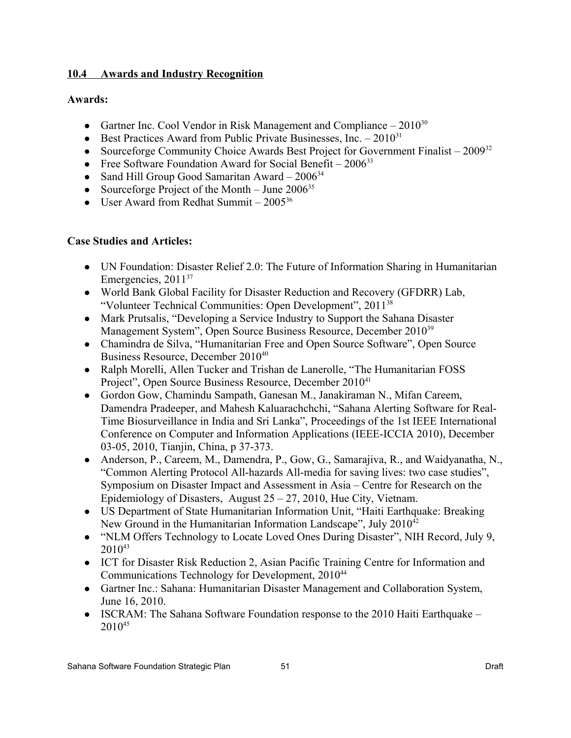## **10.4 Awards and Industry Recognition**

## **Awards:**

- Gartner Inc. Cool Vendor in Risk Management and Compliance  $-2010^{30}$  $-2010^{30}$  $-2010^{30}$
- Best Practices Award from Public Private Businesses, Inc.  $-2010^{31}$  $-2010^{31}$  $-2010^{31}$
- Sourceforge Community Choice Awards Best Project for Government Finalist  $2009^{32}$  $2009^{32}$  $2009^{32}$
- Free Software Foundation Award for Social Benefit  $2006^{33}$  $2006^{33}$  $2006^{33}$
- Sand Hill Group Good Samaritan Award  $2006^{34}$  $2006^{34}$  $2006^{34}$
- Sourceforge Project of the Month June  $2006^{35}$  $2006^{35}$  $2006^{35}$
- User Award from Redhat Summit  $2005^{36}$  $2005^{36}$  $2005^{36}$

## **Case Studies and Articles:**

- UN Foundation: Disaster Relief 2.0: The Future of Information Sharing in Humanitarian Emergencies, 2011<sup>[37](#page-52-36)</sup>
- World Bank Global Facility for Disaster Reduction and Recovery (GFDRR) Lab, "Volunteer Technical Communities: Open Development", 2011[38](#page-52-37)
- Mark Prutsalis, "Developing a Service Industry to Support the Sahana Disaster Management System", Open Source Business Resource, December 2010[39](#page-52-38)
- Chamindra de Silva, "Humanitarian Free and Open Source Software", Open Source Business Resource, December 2010<sup>[40](#page-52-39)</sup>
- Ralph Morelli, Allen Tucker and Trishan de Lanerolle, "The Humanitarian FOSS Project", Open Source Business Resource, December 2010<sup>[41](#page-52-40)</sup>
- Gordon Gow, Chamindu Sampath, Ganesan M., Janakiraman N., Mifan Careem, Damendra Pradeeper, and Mahesh Kaluarachchchi, "Sahana Alerting Software for Real-Time Biosurveillance in India and Sri Lanka", Proceedings of the 1st IEEE International Conference on Computer and Information Applications (IEEE-ICCIA 2010), December 03-05, 2010, Tianjin, China, p 37-373.
- Anderson, P., Careem, M., Damendra, P., Gow, G., Samarajiva, R., and Waidyanatha, N., "Common Alerting Protocol All-hazards All-media for saving lives: two case studies", Symposium on Disaster Impact and Assessment in Asia – Centre for Research on the Epidemiology of Disasters, August  $25 - 27$ , 2010, Hue City, Vietnam.
- US Department of State Humanitarian Information Unit, "Haiti Earthquake: Breaking New Ground in the Humanitarian Information Landscape", July 2010<sup>[42](#page-52-41)</sup>
- "NLM Offers Technology to Locate Loved Ones During Disaster", NIH Record, July 9, 2010[43](#page-52-42)
- ICT for Disaster Risk Reduction 2, Asian Pacific Training Centre for Information and Communications Technology for Development, 2010[44](#page-53-0)
- Gartner Inc.: Sahana: Humanitarian Disaster Management and Collaboration System, June 16, 2010.
- ISCRAM: The Sahana Software Foundation response to the 2010 Haiti Earthquake 2010[45](#page-53-1)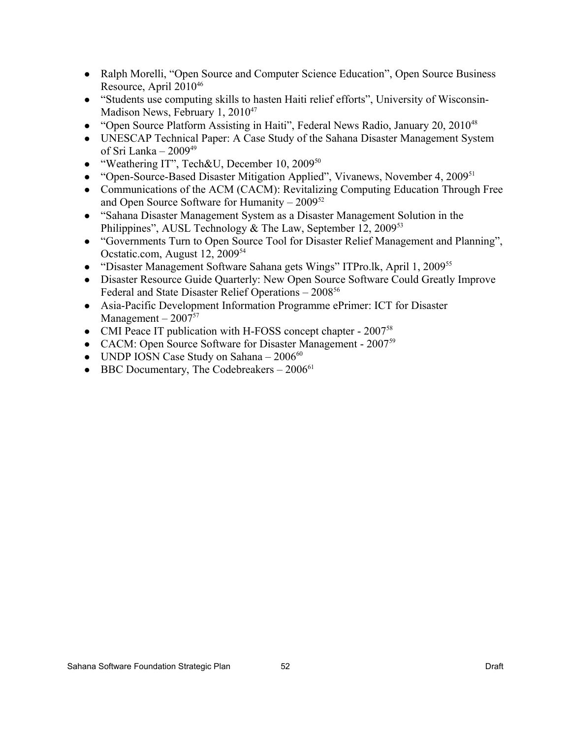- Ralph Morelli, "Open Source and Computer Science Education", Open Source Business Resource, April 2010[46](#page-53-2)
- "Students use computing skills to hasten Haiti relief efforts", University of Wisconsin-Madison News, February 1, 2010<sup>[47](#page-53-3)</sup>
- "Open Source Platform Assisting in Haiti", Federal News Radio, January 20, 2010<sup>[48](#page-53-4)</sup>
- UNESCAP Technical Paper: A Case Study of the Sahana Disaster Management System of Sri Lanka – 2009[49](#page-53-5)
- "Weathering IT", Tech&U, December 10, 2009<sup>[50](#page-53-6)</sup>
- "Open-Source-Based Disaster Mitigation Applied", Vivanews, November 4, 2009<sup>[51](#page-53-7)</sup>
- Communications of the ACM (CACM): Revitalizing Computing Education Through Free and Open Source Software for Humanity – 2009[52](#page-53-8)
- "Sahana Disaster Management System as a Disaster Management Solution in the Philippines", AUSL Technology & The Law, September 12, 2009<sup>[53](#page-53-9)</sup>
- "Governments Turn to Open Source Tool for Disaster Relief Management and Planning", Ocstatic.com, August 12, 2009[54](#page-53-10)
- "Disaster Management Software Sahana gets Wings" ITPro.lk, April 1, 2009<sup>[55](#page-53-11)</sup>
- Disaster Resource Guide Quarterly: New Open Source Software Could Greatly Improve Federal and State Disaster Relief Operations – 2008[56](#page-53-12)
- Asia-Pacific Development Information Programme ePrimer: ICT for Disaster Management –  $2007^{57}$  $2007^{57}$  $2007^{57}$
- CMI Peace IT publication with H-FOSS concept chapter 2007<sup>[58](#page-53-14)</sup>
- CACM: Open Source Software for Disaster Management 2007<sup>[59](#page-53-15)</sup>
- UNDP IOSN Case Study on Sahana  $2006^{60}$  $2006^{60}$  $2006^{60}$
- BBC Documentary, The Codebreakers  $-2006^{61}$  $-2006^{61}$  $-2006^{61}$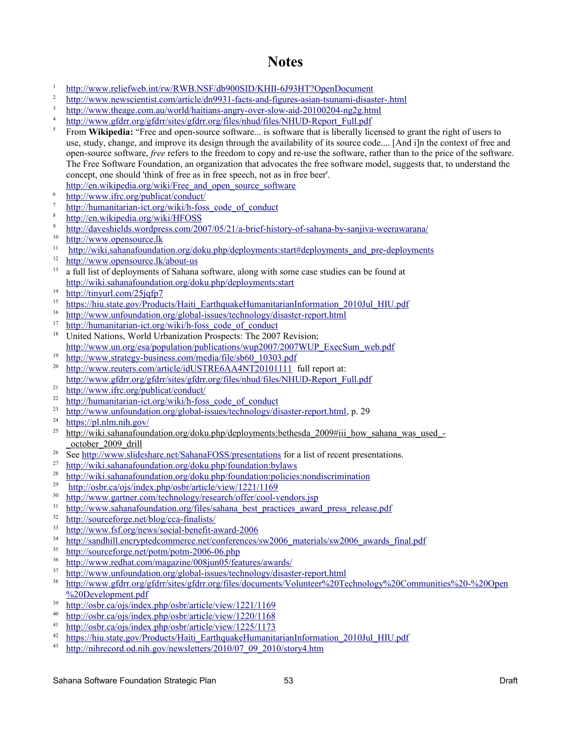## **Notes**

- <span id="page-52-0"></span>1 <http://www.reliefweb.int/rw/RWB.NSF/db900SID/KHII-6J93HT?OpenDocument>
- <span id="page-52-1"></span>2 <http://www.newscientist.com/article/dn9931-facts-and-figures-asian-tsunami-disaster-.html>
- <span id="page-52-2"></span>3 <http://www.theage.com.au/world/haitians-angry-over-slow-aid-20100204-ng2g.html>
- <span id="page-52-3"></span>4 [http://www.gfdrr.org/gfdrr/sites/gfdrr.org/files/nhud/files/NHUD-Report\\_Full.pdf](http://www.gfdrr.org/gfdrr/sites/gfdrr.org/files/nhud/files/NHUD-Report_Full.pdf)
- <span id="page-52-4"></span><sup>5</sup> From **Wikipedia:** "Free and open-source software... is software that is liberally licensed to grant the right of users to use, study, change, and improve its design through the availability of its source code.... [And i]n the context of free and open-source software, *free* refers to the freedom to copy and re-use the software, rather than to the price of the software. The Free Software Foundation, an organization that advocates the free software model, suggests that, to understand the concept, one should 'think of free as in free speech, not as in free beer'.
- http://en.wikipedia.org/wiki/Free and open source software
- <span id="page-52-5"></span>6 <http://www.ifrc.org/publicat/conduct/>
- <span id="page-52-6"></span>7 http://humanitarian-ict.org/wiki/h-foss code of conduct
- <span id="page-52-7"></span>8 http://en.wikipedia.org/wiki/HFOSS
- <span id="page-52-8"></span>9 <http://daveshields.wordpress.com/2007/05/21/a-brief-history-of-sahana-by-sanjiva-weerawarana/>
- <span id="page-52-9"></span>10  [http :// www. opensource. lk](http://www.google.com/url?q=http%3A%2F%2Fwww.opensource.lk%2F&sa=D&sntz=1&usg=AFQjCNGiY6_rHV4KpjuShDAHEpfxIBQDaA)
- <span id="page-52-10"></span><sup>11</sup> [http://wiki.sahanafoundation.org/doku.php/deployments:start#deployments\\_and\\_pre-deployments](http://wiki.sahanafoundation.org/doku.php/deployments:start#deployments_and_pre-deployments)
- <span id="page-52-11"></span>12 http://www.opensource.lk/about-us
- <span id="page-52-12"></span><sup>13</sup> a full list of deployments of Sahana software, along with some case studies can be found at <http://wiki.sahanafoundation.org/doku.php/deployments:start>
- <span id="page-52-13"></span>14 <http://tinyurl.com/25jqfp7>
- <span id="page-52-14"></span><sup>15</sup> [https://hiu.state.gov/Products/Haiti\\_EarthquakeHumanitarianInformation\\_2010Jul\\_HIU.pdf](https://hiu.state.gov/Products/Haiti_EarthquakeHumanitarianInformation_2010Jul_HIU.pdf)<br><sup>16</sup> http://www.unfoundation.org/global-issues/technology/disaster-report.html
- <span id="page-52-15"></span><sup>16</sup> <http://www.unfoundation.org/global-issues/technology/disaster-report.html><br><sup>17</sup> http://humanitarian.ist.org/wilki/h-fees\_eode\_of\_conduct
- <span id="page-52-16"></span>[http://humanitarian-ict.org/wiki/h-foss\\_code\\_of\\_conduct](http://humanitarian-ict.org/wiki/h-foss_code_of_conduct)
- <span id="page-52-17"></span><sup>18</sup> United Nations, World Urbanization Prospects: The 2007 Revision; [http://www.un.org/esa/population/publications/wup2007/2007WUP\\_ExecSum\\_web.pdf](http://www.un.org/esa/population/publications/wup2007/2007WUP_ExecSum_web.pdf)
- <span id="page-52-18"></span>19  [http://www.strategy-business.com/media/file/sb60\\_10303.pdf](http://www.strategy-business.com/media/file/sb60_10303.pdf)
- <span id="page-52-19"></span><sup>20</sup> <http://www.reuters.com/article/idUSTRE6AA4NT20101111>full report at: [http://www.gfdrr.org/gfdrr/sites/gfdrr.org/files/nhud/files/NHUD-Report\\_Full.pdf](http://www.gfdrr.org/gfdrr/sites/gfdrr.org/files/nhud/files/NHUD-Report_Full.pdf)
- <span id="page-52-20"></span>21 <http://www.ifrc.org/publicat/conduct/>
- <span id="page-52-21"></span>22 http://humanitarian-ict.org/wiki/h-foss code of conduct
- <span id="page-52-22"></span>23  [http://www.unfoundation.org/global-issues/technology/disaster-report.html,](http://www.unfoundation.org/global-issues/technology/disaster-report.html) p. 29
- <span id="page-52-23"></span>24 <https://pl.nlm.nih.gov/>
- <span id="page-52-24"></span> $\frac{25}{h}$  [http://wiki.sahanafoundation.org/doku.php/deployments:bethesda\\_2009#iii\\_how\\_sahana\\_was\\_used\\_-](http://wiki.sahanafoundation.org/doku.php/deployments:bethesda_2009#iii_how_sahana_was_used_-_october_2009_drill) [\\_october\\_2009\\_drill](http://wiki.sahanafoundation.org/doku.php/deployments:bethesda_2009#iii_how_sahana_was_used_-_october_2009_drill)
- <span id="page-52-25"></span><sup>26</sup> See<http://www.slideshare.net/SahanaFOSS/presentations>for a list of recent presentations.
- <span id="page-52-26"></span>27 <http://wiki.sahanafoundation.org/doku.php/foundation:bylaws>
- <span id="page-52-27"></span><sup>28</sup> <http://wiki.sahanafoundation.org/doku.php/foundation:policies:nondiscrimination><br><sup>29</sup> http://asha es/ais/index.php/seha/asha/asha/ashay/1221/1160
- <span id="page-52-28"></span><http://osbr.ca/ojs/index.php/osbr/article/view/1221/1169>
- <span id="page-52-29"></span>30 <http://www.gartner.com/technology/research/offer/cool-vendors.jsp>
- <span id="page-52-30"></span><sup>31</sup> [http://www.sahanafoundation.org/files/sahana\\_best\\_practices\\_award\\_press\\_release.pdf](http://www.sahanafoundation.org/files/sahana_best_practices_award_press_release.pdf)
- <span id="page-52-31"></span> $\frac{32}{31}$  <http://sourceforge.net/blog/cca-finalists/><br> $\frac{33}{11}$  http://www.fsf.org/news/social-benefit-a
- <span id="page-52-32"></span> $\frac{33}{24}$  <http://www.fsf.org/news/social-benefit-award-2006><br> $\frac{34}{24}$  http://sandbill.encryptedcommerce.net/conferences/
- <span id="page-52-33"></span>[http://sandhill.encryptedcommerce.net/conferences/sw2006\\_materials/sw2006\\_awards\\_final.pdf](http://sandhill.encryptedcommerce.net/conferences/sw2006_materials/sw2006_awards_final.pdf)
- <span id="page-52-34"></span> $\frac{35}{100}$  <http://sourceforge.net/potm/potm-2006-06.php><br> $\frac{100}{100}$  http://www.redhat.com/magazine/008iun05/fea
- <span id="page-52-35"></span> $\frac{36}{27}$  <http://www.redhat.com/magazine/008jun05/features/awards/><br> $\frac{37}{27}$  http://www.upfoundation.org/global.issues/technology/disaction
- <span id="page-52-36"></span> $\frac{37}{100}$  <http://www.unfoundation.org/global-issues/technology/disaster-report.html><br> $\frac{38}{100}$  http://www.afdra.org/afdra/aited/afdra.org/files/decuments/Melunteer%20To
- <span id="page-52-37"></span><sup>38</sup> [http://www.gfdrr.org/gfdrr/sites/gfdrr.org/files/documents/Volunteer%20Technology%20Communities%20-%20Open](http://www.gfdrr.org/gfdrr/sites/gfdrr.org/files/documents/Volunteer%20Technology%20Communities%20-%20Open%20Development.pdf) [%20Development.pdf](http://www.gfdrr.org/gfdrr/sites/gfdrr.org/files/documents/Volunteer%20Technology%20Communities%20-%20Open%20Development.pdf)
- <span id="page-52-38"></span> $\frac{39}{100}$  <http://osbr.ca/ojs/index.php/osbr/article/view/1221/1169>
- <span id="page-52-39"></span> $\frac{40}{1}$  <http://osbr.ca/ojs/index.php/osbr/article/view/1220/1168><br> $\frac{41}{1}$  http://osbr.ca/ojs/index.php/osbr/article/view/1225/1173
- <span id="page-52-40"></span> $\frac{41}{12}$  <http://osbr.ca/ojs/index.php/osbr/article/view/1225/1173>
- <span id="page-52-41"></span><sup>42</sup> [https://hiu.state.gov/Products/Haiti\\_EarthquakeHumanitarianInformation\\_2010Jul\\_HIU.pdf](https://hiu.state.gov/Products/Haiti_EarthquakeHumanitarianInformation_2010Jul_HIU.pdf)<br><sup>43</sup> http://nikrogord.od.pik.gov/poweletters/2010/07\_00\_2010/etery4.htm
- <span id="page-52-42"></span><sup>43</sup> [http://nihrecord.od.nih.gov/newsletters/2010/07\\_09\\_2010/story4.htm](http://nihrecord.od.nih.gov/newsletters/2010/07_09_2010/story4.htm)